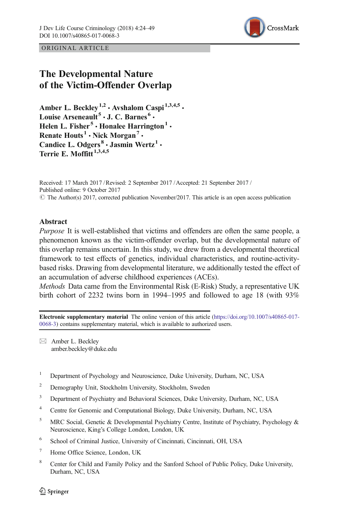

ORIGINAL ARTICLE

# The Developmental Nature of the Victim-Offender Overlap

Amber L. Beckley<sup>1,2</sup> · Avshalom Caspi<sup>1,3,4,5</sup> · Louise Arseneault<sup>5</sup>  $\cdot$  J. C. Barnes<sup>6</sup>  $\cdot$ Helen L. Fisher<sup>5</sup>  $\cdot$  Honalee Harrington<sup>1</sup>  $\cdot$ Renate  $H$ outs<sup>1</sup>  $\cdot$  Nick Morgan<sup>7</sup>  $\cdot$ Candice L. Odgers<sup>8</sup>  $\cdot$  Jasmin Wertz<sup>1</sup>  $\cdot$ Terrie E. Moffitt<sup>1,3,4,5</sup>

Received: 17 March 2017 /Revised: 2 September 2017 /Accepted: 21 September 2017 / Published online: 9 October 2017  $\odot$  The Author(s) 2017, corrected publication November/2017. This article is an open access publication

### Abstract

Purpose It is well-established that victims and offenders are often the same people, a phenomenon known as the victim-offender overlap, but the developmental nature of this overlap remains uncertain. In this study, we drew from a developmental theoretical framework to test effects of genetics, individual characteristics, and routine-activitybased risks. Drawing from developmental literature, we additionally tested the effect of an accumulation of adverse childhood experiences (ACEs).

Methods Data came from the Environmental Risk (E-Risk) Study, a representative UK birth cohort of 2232 twins born in 1994–1995 and followed to age 18 (with 93%

Electronic supplementary material The online version of this article [\(https://doi.org/10.1007/s40865-017-](https://doi.org/10.1007/s40865-017-0068-3) [0068-3\)](https://doi.org/10.1007/s40865-017-0068-3) contains supplementary material, which is available to authorized users.

 $\boxtimes$  Amber L. Beckley [amber.beckley@duke.edu](mailto:amber.beckley@duke.edu)

- <sup>1</sup> Department of Psychology and Neuroscience, Duke University, Durham, NC, USA
- <sup>2</sup> Demography Unit, Stockholm University, Stockholm, Sweden
- <sup>3</sup> Department of Psychiatry and Behavioral Sciences, Duke University, Durham, NC, USA
- <sup>4</sup> Centre for Genomic and Computational Biology, Duke University, Durham, NC, USA
- <sup>5</sup> MRC Social, Genetic & Developmental Psychiatry Centre, Institute of Psychiatry, Psychology & Neuroscience, King's College London, London, UK
- <sup>6</sup> School of Criminal Justice, University of Cincinnati, Cincinnati, OH, USA
- <sup>7</sup> Home Office Science, London, UK
- <sup>8</sup> Center for Child and Family Policy and the Sanford School of Public Policy, Duke University, Durham, NC, USA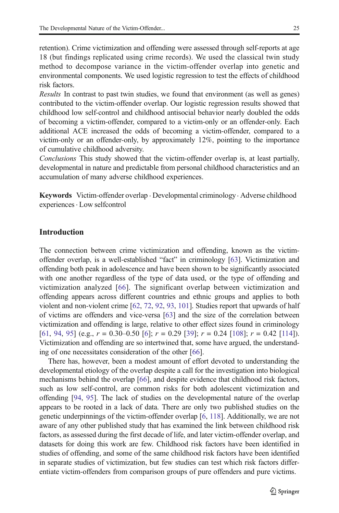retention). Crime victimization and offending were assessed through self-reports at age 18 (but findings replicated using crime records). We used the classical twin study method to decompose variance in the victim-offender overlap into genetic and environmental components. We used logistic regression to test the effects of childhood risk factors.

Results In contrast to past twin studies, we found that environment (as well as genes) contributed to the victim-offender overlap. Our logistic regression results showed that childhood low self-control and childhood antisocial behavior nearly doubled the odds of becoming a victim-offender, compared to a victim-only or an offender-only. Each additional ACE increased the odds of becoming a victim-offender, compared to a victim-only or an offender-only, by approximately 12%, pointing to the importance of cumulative childhood adversity.

Conclusions This study showed that the victim-offender overlap is, at least partially, developmental in nature and predictable from personal childhood characteristics and an accumulation of many adverse childhood experiences.

Keywords Victim-offender overlap . Developmental criminology. Adverse childhood experiences. Low selfcontrol

### Introduction

The connection between crime victimization and offending, known as the victimoffender overlap, is a well-established "fact" in criminology [\[63\]](#page-22-0). Victimization and offending both peak in adolescence and have been shown to be significantly associated with one another regardless of the type of data used, or the type of offending and victimization analyzed [\[66](#page-22-0)]. The significant overlap between victimization and offending appears across different countries and ethnic groups and applies to both violent and non-violent crime [[62,](#page-22-0) [72](#page-23-0), [92](#page-24-0), [93,](#page-24-0) [101\]](#page-24-0). Studies report that upwards of half of victims are offenders and vice-versa [[63](#page-22-0)] and the size of the correlation between victimization and offending is large, relative to other effect sizes found in criminology [\[61,](#page-22-0) [94,](#page-24-0) [95](#page-24-0)] (e.g.,  $r = 0.30 - 0.50$  [\[6](#page-20-0)];  $r = 0.29$  [[39\]](#page-21-0);  $r = 0.24$  [\[108\]](#page-24-0);  $r = 0.42$  [\[114\]](#page-25-0)). Victimization and offending are so intertwined that, some have argued, the understanding of one necessitates consideration of the other [\[66](#page-22-0)].

There has, however, been a modest amount of effort devoted to understanding the developmental etiology of the overlap despite a call for the investigation into biological mechanisms behind the overlap [[66\]](#page-22-0), and despite evidence that childhood risk factors, such as low self-control, are common risks for both adolescent victimization and offending [[94](#page-24-0), [95\]](#page-24-0). The lack of studies on the developmental nature of the overlap appears to be rooted in a lack of data. There are only two published studies on the genetic underpinnings of the victim-offender overlap [\[6,](#page-20-0) [118](#page-25-0)]. Additionally, we are not aware of any other published study that has examined the link between childhood risk factors, as assessed during the first decade of life, and later victim-offender overlap, and datasets for doing this work are few. Childhood risk factors have been identified in studies of offending, and some of the same childhood risk factors have been identified in separate studies of victimization, but few studies can test which risk factors differentiate victim-offenders from comparison groups of pure offenders and pure victims.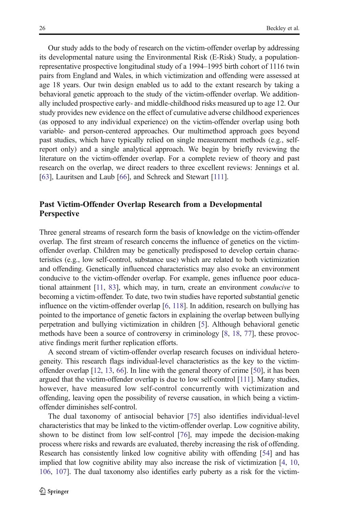Our study adds to the body of research on the victim-offender overlap by addressing its developmental nature using the Environmental Risk (E-Risk) Study, a populationrepresentative prospective longitudinal study of a 1994–1995 birth cohort of 1116 twin pairs from England and Wales, in which victimization and offending were assessed at age 18 years. Our twin design enabled us to add to the extant research by taking a behavioral genetic approach to the study of the victim-offender overlap. We additionally included prospective early- and middle-childhood risks measured up to age 12. Our study provides new evidence on the effect of cumulative adverse childhood experiences (as opposed to any individual experience) on the victim-offender overlap using both variable- and person-centered approaches. Our multimethod approach goes beyond past studies, which have typically relied on single measurement methods (e.g., selfreport only) and a single analytical approach. We begin by briefly reviewing the literature on the victim-offender overlap. For a complete review of theory and past research on the overlap, we direct readers to three excellent reviews: Jennings et al. [\[63\]](#page-22-0), Lauritsen and Laub [[66\]](#page-22-0), and Schreck and Stewart [[111\]](#page-25-0).

# Past Victim-Offender Overlap Research from a Developmental **Perspective**

Three general streams of research form the basis of knowledge on the victim-offender overlap. The first stream of research concerns the influence of genetics on the victimoffender overlap. Children may be genetically predisposed to develop certain characteristics (e.g., low self-control, substance use) which are related to both victimization and offending. Genetically influenced characteristics may also evoke an environment conducive to the victim-offender overlap. For example, genes influence poor educational attainment [[11](#page-20-0), [83\]](#page-23-0), which may, in turn, create an environment conducive to becoming a victim-offender. To date, two twin studies have reported substantial genetic influence on the victim-offender overlap [[6,](#page-20-0) [118\]](#page-25-0). In addition, research on bullying has pointed to the importance of genetic factors in explaining the overlap between bullying perpetration and bullying victimization in children [[5](#page-20-0)]. Although behavioral genetic methods have been a source of controversy in criminology [[8,](#page-20-0) [18,](#page-20-0) [77](#page-23-0)], these provocative findings merit further replication efforts.

A second stream of victim-offender overlap research focuses on individual heterogeneity. This research flags individual-level characteristics as the key to the victimoffender overlap [\[12,](#page-20-0) [13,](#page-20-0) [66\]](#page-22-0). In line with the general theory of crime [\[50](#page-22-0)], it has been argued that the victim-offender overlap is due to low self-control [\[111](#page-25-0)]. Many studies, however, have measured low self-control concurrently with victimization and offending, leaving open the possibility of reverse causation, in which being a victimoffender diminishes self-control.

The dual taxonomy of antisocial behavior [\[75](#page-23-0)] also identifies individual-level characteristics that may be linked to the victim-offender overlap. Low cognitive ability, shown to be distinct from low self-control [\[76](#page-23-0)], may impede the decision-making process where risks and rewards are evaluated, thereby increasing the risk of offending. Research has consistently linked low cognitive ability with offending [\[54\]](#page-22-0) and has implied that low cognitive ability may also increase the risk of victimization [\[4](#page-20-0), [10,](#page-20-0) [106,](#page-24-0) [107\]](#page-24-0). The dual taxonomy also identifies early puberty as a risk for the victim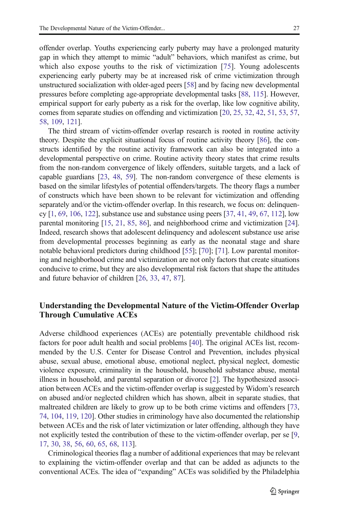offender overlap. Youths experiencing early puberty may have a prolonged maturity gap in which they attempt to mimic "adult" behaviors, which manifest as crime, but which also expose youths to the risk of victimization [[75\]](#page-23-0). Young adolescents experiencing early puberty may be at increased risk of crime victimization through unstructured socialization with older-aged peers [[58\]](#page-22-0) and by facing new developmental pressures before completing age-appropriate developmental tasks [[88](#page-23-0), [115](#page-25-0)]. However, empirical support for early puberty as a risk for the overlap, like low cognitive ability, comes from separate studies on offending and victimization [\[20,](#page-20-0) [25](#page-21-0), [32](#page-21-0), [42,](#page-21-0) [51](#page-22-0), [53](#page-22-0), [57,](#page-22-0) [58,](#page-22-0) [109,](#page-24-0) [121\]](#page-25-0).

The third stream of victim-offender overlap research is rooted in routine activity theory. Despite the explicit situational focus of routine activity theory [[86](#page-23-0)], the constructs identified by the routine activity framework can also be integrated into a developmental perspective on crime. Routine activity theory states that crime results from the non-random convergence of likely offenders, suitable targets, and a lack of capable guardians [[23,](#page-20-0) [48](#page-22-0), [59\]](#page-22-0). The non-random convergence of these elements is based on the similar lifestyles of potential offenders/targets. The theory flags a number of constructs which have been shown to be relevant for victimization and offending separately and/or the victim-offender overlap. In this research, we focus on: delinquency [[1,](#page-19-0) [69](#page-23-0), [106,](#page-24-0) [122](#page-25-0)], substance use and substance using peers [\[37,](#page-21-0) [41](#page-21-0), [49,](#page-22-0) [67,](#page-23-0) [112\]](#page-25-0), low parental monitoring [\[15](#page-20-0), [21,](#page-20-0) [85,](#page-23-0) [86](#page-23-0)], and neighborhood crime and victimization [[24\]](#page-21-0). Indeed, research shows that adolescent delinquency and adolescent substance use arise from developmental processes beginning as early as the neonatal stage and share notable behavioral predictors during childhood [[55](#page-22-0)]; [[70\]](#page-23-0); [\[71](#page-23-0)]. Low parental monitoring and neighborhood crime and victimization are not only factors that create situations conducive to crime, but they are also developmental risk factors that shape the attitudes and future behavior of children [\[26](#page-21-0), [33](#page-21-0), [47,](#page-22-0) [87\]](#page-23-0).

# Understanding the Developmental Nature of the Victim-Offender Overlap Through Cumulative ACEs

Adverse childhood experiences (ACEs) are potentially preventable childhood risk factors for poor adult health and social problems [\[40](#page-21-0)]. The original ACEs list, recommended by the U.S. Center for Disease Control and Prevention, includes physical abuse, sexual abuse, emotional abuse, emotional neglect, physical neglect, domestic violence exposure, criminality in the household, household substance abuse, mental illness in household, and parental separation or divorce [\[2](#page-19-0)]. The hypothesized association between ACEs and the victim-offender overlap is suggested by Widom's research on abused and/or neglected children which has shown, albeit in separate studies, that maltreated children are likely to grow up to be both crime victims and offenders [\[73,](#page-23-0) [74,](#page-23-0) [104](#page-24-0), [119](#page-25-0), [120\]](#page-25-0). Other studies in criminology have also documented the relationship between ACEs and the risk of later victimization or later offending, although they have not explicitly tested the contribution of these to the victim-offender overlap, per se [\[9,](#page-20-0) [17,](#page-20-0) [30,](#page-21-0) [38](#page-21-0), [56](#page-22-0), [60](#page-22-0), [65,](#page-22-0) [68,](#page-23-0) [113\]](#page-25-0).

Criminological theories flag a number of additional experiences that may be relevant to explaining the victim-offender overlap and that can be added as adjuncts to the conventional ACEs. The idea of "expanding" ACEs was solidified by the Philadelphia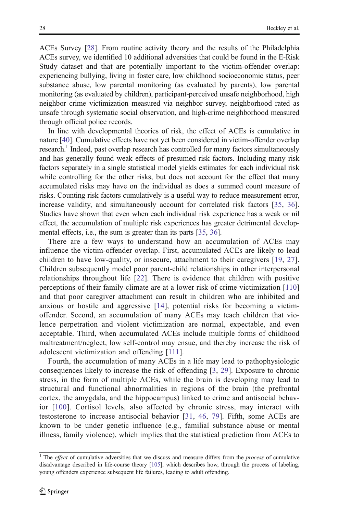ACEs Survey [[28\]](#page-21-0). From routine activity theory and the results of the Philadelphia ACEs survey, we identified 10 additional adversities that could be found in the E-Risk Study dataset and that are potentially important to the victim-offender overlap: experiencing bullying, living in foster care, low childhood socioeconomic status, peer substance abuse, low parental monitoring (as evaluated by parents), low parental monitoring (as evaluated by children), participant-perceived unsafe neighborhood, high neighbor crime victimization measured via neighbor survey, neighborhood rated as unsafe through systematic social observation, and high-crime neighborhood measured through official police records.

In line with developmental theories of risk, the effect of ACEs is cumulative in nature [\[40](#page-21-0)]. Cumulative effects have not yet been considered in victim-offender overlap research.<sup>1</sup> Indeed, past overlap research has controlled for many factors simultaneously and has generally found weak effects of presumed risk factors. Including many risk factors separately in a single statistical model yields estimates for each individual risk while controlling for the other risks, but does not account for the effect that many accumulated risks may have on the individual as does a summed count measure of risks. Counting risk factors cumulatively is a useful way to reduce measurement error, increase validity, and simultaneously account for correlated risk factors [[35,](#page-21-0) [36\]](#page-21-0). Studies have shown that even when each individual risk experience has a weak or nil effect, the accumulation of multiple risk experiences has greater detrimental developmental effects, i.e., the sum is greater than its parts [\[35,](#page-21-0) [36](#page-21-0)].

There are a few ways to understand how an accumulation of ACEs may influence the victim-offender overlap. First, accumulated ACEs are likely to lead children to have low-quality, or insecure, attachment to their caregivers [[19](#page-20-0), [27\]](#page-21-0). Children subsequently model poor parent-child relationships in other interpersonal relationships throughout life [\[22](#page-20-0)]. There is evidence that children with positive perceptions of their family climate are at a lower risk of crime victimization [\[110](#page-24-0)] and that poor caregiver attachment can result in children who are inhibited and anxious or hostile and aggressive [\[14](#page-20-0)], potential risks for becoming a victimoffender. Second, an accumulation of many ACEs may teach children that violence perpetration and violent victimization are normal, expectable, and even acceptable. Third, when accumulated ACEs include multiple forms of childhood maltreatment/neglect, low self-control may ensue, and thereby increase the risk of adolescent victimization and offending [\[111\]](#page-25-0).

Fourth, the accumulation of many ACEs in a life may lead to pathophysiologic consequences likely to increase the risk of offending [\[3](#page-20-0), [29](#page-21-0)]. Exposure to chronic stress, in the form of multiple ACEs, while the brain is developing may lead to structural and functional abnormalities in regions of the brain (the prefrontal cortex, the amygdala, and the hippocampus) linked to crime and antisocial behavior [[100\]](#page-24-0). Cortisol levels, also affected by chronic stress, may interact with testosterone to increase antisocial behavior [[31](#page-21-0), [46,](#page-22-0) [79\]](#page-23-0). Fifth, some ACEs are known to be under genetic influence (e.g., familial substance abuse or mental illness, family violence), which implies that the statistical prediction from ACEs to

 $\overline{1}$  The *effect* of cumulative adversities that we discuss and measure differs from the *process* of cumulative disadvantage described in life-course theory [\[105\]](#page-24-0), which describes how, through the process of labeling, young offenders experience subsequent life failures, leading to adult offending.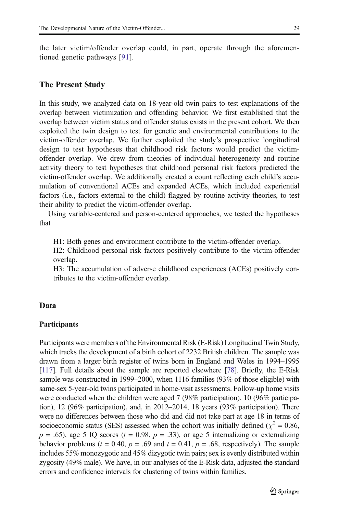the later victim/offender overlap could, in part, operate through the aforementioned genetic pathways [[91\]](#page-24-0).

### The Present Study

In this study, we analyzed data on 18-year-old twin pairs to test explanations of the overlap between victimization and offending behavior. We first established that the overlap between victim status and offender status exists in the present cohort. We then exploited the twin design to test for genetic and environmental contributions to the victim-offender overlap. We further exploited the study's prospective longitudinal design to test hypotheses that childhood risk factors would predict the victimoffender overlap. We drew from theories of individual heterogeneity and routine activity theory to test hypotheses that childhood personal risk factors predicted the victim-offender overlap. We additionally created a count reflecting each child's accumulation of conventional ACEs and expanded ACEs, which included experiential factors (i.e., factors external to the child) flagged by routine activity theories, to test their ability to predict the victim-offender overlap.

Using variable-centered and person-centered approaches, we tested the hypotheses that

H1: Both genes and environment contribute to the victim-offender overlap.

H2: Childhood personal risk factors positively contribute to the victim-offender overlap.

H3: The accumulation of adverse childhood experiences (ACEs) positively contributes to the victim-offender overlap.

### Data

### Participants

Participants were members of the Environmental Risk (E-Risk) Longitudinal Twin Study, which tracks the development of a birth cohort of 2232 British children. The sample was drawn from a larger birth register of twins born in England and Wales in 1994–1995 [\[117](#page-25-0)]. Full details about the sample are reported elsewhere [\[78\]](#page-23-0). Briefly, the E-Risk sample was constructed in 1999–2000, when 1116 families (93% of those eligible) with same-sex 5-year-old twins participated in home-visit assessments. Follow-up home visits were conducted when the children were aged 7 (98% participation), 10 (96% participation), 12 (96% participation), and, in 2012–2014, 18 years (93% participation). There were no differences between those who did and did not take part at age 18 in terms of socioeconomic status (SES) assessed when the cohort was initially defined ( $\chi^2$  = 0.86,  $p = .65$ ), age 5 IQ scores ( $t = 0.98$ ,  $p = .33$ ), or age 5 internalizing or externalizing behavior problems ( $t = 0.40$ ,  $p = .69$  and  $t = 0.41$ ,  $p = .68$ , respectively). The sample includes 55% monozygotic and 45% dizygotic twin pairs; sex is evenly distributed within zygosity (49% male). We have, in our analyses of the E-Risk data, adjusted the standard errors and confidence intervals for clustering of twins within families.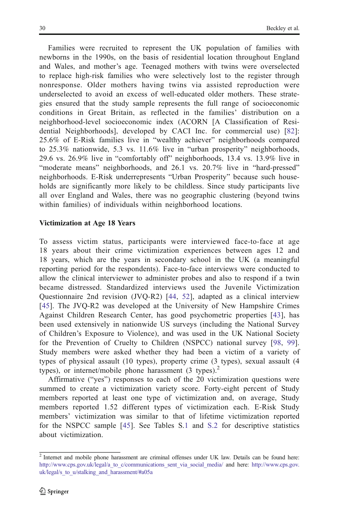Families were recruited to represent the UK population of families with newborns in the 1990s, on the basis of residential location throughout England and Wales, and mother's age. Teenaged mothers with twins were overselected to replace high-risk families who were selectively lost to the register through nonresponse. Older mothers having twins via assisted reproduction were underselected to avoid an excess of well-educated older mothers. These strategies ensured that the study sample represents the full range of socioeconomic conditions in Great Britain, as reflected in the families' distribution on a neighborhood-level socioeconomic index (ACORN [A Classification of Residential Neighborhoods], developed by CACI Inc. for commercial use) [\[82](#page-23-0)]: 25.6% of E-Risk families live in "wealthy achiever" neighborhoods compared to 25.3% nationwide, 5.3 vs. 11.6% live in "urban prosperity" neighborhoods, 29.6 vs. 26.9% live in "comfortably off" neighborhoods, 13.4 vs. 13.9% live in "moderate means" neighborhoods, and 26.1 vs. 20.7% live in "hard-pressed" neighborhoods. E-Risk underrepresents "Urban Prosperity" because such households are significantly more likely to be childless. Since study participants live all over England and Wales, there was no geographic clustering (beyond twins within families) of individuals within neighborhood locations.

#### Victimization at Age 18 Years

To assess victim status, participants were interviewed face-to-face at age 18 years about their crime victimization experiences between ages 12 and 18 years, which are the years in secondary school in the UK (a meaningful reporting period for the respondents). Face-to-face interviews were conducted to allow the clinical interviewer to administer probes and also to respond if a twin became distressed. Standardized interviews used the Juvenile Victimization Questionnaire 2nd revision (JVQ-R2) [\[44,](#page-21-0) [52](#page-22-0)], adapted as a clinical interview [\[45\]](#page-22-0). The JVQ-R2 was developed at the University of New Hampshire Crimes Against Children Research Center, has good psychometric properties [\[43](#page-21-0)], has been used extensively in nationwide US surveys (including the National Survey of Children's Exposure to Violence), and was used in the UK National Society for the Prevention of Cruelty to Children (NSPCC) national survey [\[98,](#page-24-0) [99\]](#page-24-0). Study members were asked whether they had been a victim of a variety of types of physical assault (10 types), property crime (3 types), sexual assault (4 types), or internet/mobile phone harassment  $(3 \text{ types})$ .

Affirmative ("yes") responses to each of the 20 victimization questions were summed to create a victimization variety score. Forty-eight percent of Study members reported at least one type of victimization and, on average, Study members reported 1.52 different types of victimization each. E-Risk Study members' victimization was similar to that of lifetime victimization reported for the NSPCC sample [\[45](#page-22-0)]. See Tables S.1 and S.2 for descriptive statistics about victimization.

 $\frac{1}{2}$  Internet and mobile phone harassment are criminal offenses under UK law. Details can be found here: [http://www.cps.gov.uk/legal/a\\_to\\_c/communications\\_sent\\_via\\_social\\_media/](http://www.cps.gov.uk/legal/a_to_c/communications_sent_via_social_media/) and here: [http://www.cps.gov.](http://www.cps.gov.uk/legal/s_to_u/stalking_and_harassment/%23a05a) [uk/legal/s\\_to\\_u/stalking\\_and\\_harassment/#a05a](http://www.cps.gov.uk/legal/s_to_u/stalking_and_harassment/%23a05a)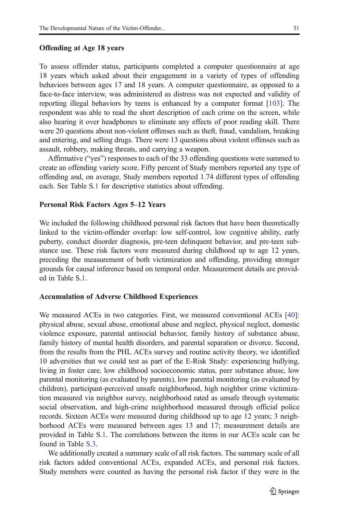### Offending at Age 18 years

To assess offender status, participants completed a computer questionnaire at age 18 years which asked about their engagement in a variety of types of offending behaviors between ages 17 and 18 years. A computer questionnaire, as opposed to a face-to-face interview, was administered as distress was not expected and validity of reporting illegal behaviors by teens is enhanced by a computer format [\[103](#page-24-0)]. The respondent was able to read the short description of each crime on the screen, while also hearing it over headphones to eliminate any effects of poor reading skill. There were 20 questions about non-violent offenses such as theft, fraud, vandalism, breaking and entering, and selling drugs. There were 13 questions about violent offenses such as assault, robbery, making threats, and carrying a weapon.

Affirmative ("yes") responses to each of the 33 offending questions were summed to create an offending variety score. Fifty percent of Study members reported any type of offending and, on average, Study members reported 1.74 different types of offending each. See Table S.1 for descriptive statistics about offending.

#### Personal Risk Factors Ages 5–12 Years

We included the following childhood personal risk factors that have been theoretically linked to the victim-offender overlap: low self-control, low cognitive ability, early puberty, conduct disorder diagnosis, pre-teen delinquent behavior, and pre-teen substance use. These risk factors were measured during childhood up to age 12 years, preceding the measurement of both victimization and offending, providing stronger grounds for causal inference based on temporal order. Measurement details are provided in Table S.1.

#### Accumulation of Adverse Childhood Experiences

We measured ACEs in two categories. First, we measured conventional ACEs [[40\]](#page-21-0): physical abuse, sexual abuse, emotional abuse and neglect, physical neglect, domestic violence exposure, parental antisocial behavior, family history of substance abuse, family history of mental health disorders, and parental separation or divorce. Second, from the results from the PHL ACEs survey and routine activity theory, we identified 10 adversities that we could test as part of the E-Risk Study: experiencing bullying, living in foster care, low childhood socioeconomic status, peer substance abuse, low parental monitoring (as evaluated by parents), low parental monitoring (as evaluated by children), participant-perceived unsafe neighborhood, high neighbor crime victimization measured via neighbor survey, neighborhood rated as unsafe through systematic social observation, and high-crime neighborhood measured through official police records. Sixteen ACEs were measured during childhood up to age 12 years; 3 neighborhood ACEs were measured between ages 13 and 17; measurement details are provided in Table S.1. The correlations between the items in our ACEs scale can be found in Table S.3.

We additionally created a summary scale of all risk factors. The summary scale of all risk factors added conventional ACEs, expanded ACEs, and personal risk factors. Study members were counted as having the personal risk factor if they were in the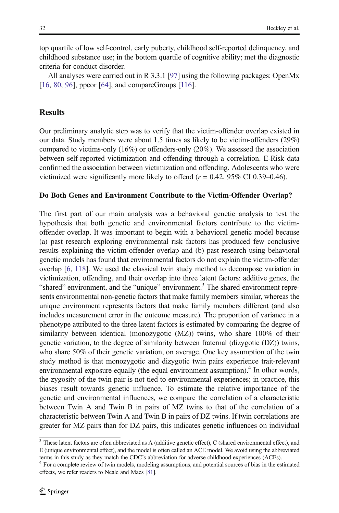top quartile of low self-control, early puberty, childhood self-reported delinquency, and childhood substance use; in the bottom quartile of cognitive ability; met the diagnostic criteria for conduct disorder.

All analyses were carried out in R 3.3.1 [\[97](#page-24-0)] using the following packages: OpenMx [\[16,](#page-20-0) [80](#page-23-0), [96](#page-24-0)], ppcor [\[64\]](#page-22-0), and compareGroups [\[116\]](#page-25-0).

# **Results**

Our preliminary analytic step was to verify that the victim-offender overlap existed in our data. Study members were about 1.5 times as likely to be victim-offenders (29%) compared to victims-only (16%) or offenders-only (20%). We assessed the association between self-reported victimization and offending through a correlation. E-Risk data confirmed the association between victimization and offending. Adolescents who were victimized were significantly more likely to offend  $(r = 0.42, 95\% \text{ CI } 0.39{\text{-}}0.46)$ .

### Do Both Genes and Environment Contribute to the Victim-Offender Overlap?

The first part of our main analysis was a behavioral genetic analysis to test the hypothesis that both genetic and environmental factors contribute to the victimoffender overlap. It was important to begin with a behavioral genetic model because (a) past research exploring environmental risk factors has produced few conclusive results explaining the victim-offender overlap and (b) past research using behavioral genetic models has found that environmental factors do not explain the victim-offender overlap [\[6](#page-20-0), [118](#page-25-0)]. We used the classical twin study method to decompose variation in victimization, offending, and their overlap into three latent factors: additive genes, the "shared" environment, and the "unique" environment.<sup>3</sup> The shared environment represents environmental non-genetic factors that make family members similar, whereas the unique environment represents factors that make family members different (and also includes measurement error in the outcome measure). The proportion of variance in a phenotype attributed to the three latent factors is estimated by comparing the degree of similarity between identical (monozygotic (MZ)) twins, who share 100% of their genetic variation, to the degree of similarity between fraternal (dizygotic (DZ)) twins, who share 50% of their genetic variation, on average. One key assumption of the twin study method is that monozygotic and dizygotic twin pairs experience trait-relevant environmental exposure equally (the equal environment assumption). $4$  In other words, the zygosity of the twin pair is not tied to environmental experiences; in practice, this biases result towards genetic influence. To estimate the relative importance of the genetic and environmental influences, we compare the correlation of a characteristic between Twin A and Twin B in pairs of MZ twins to that of the correlation of a characteristic between Twin A and Twin B in pairs of DZ twins. If twin correlations are greater for MZ pairs than for DZ pairs, this indicates genetic influences on individual

<sup>&</sup>lt;sup>3</sup> These latent factors are often abbreviated as A (additive genetic effect), C (shared environmental effect), and E (unique environmental effect), and the model is often called an ACE model. We avoid using the abbreviated

terms in this study as they match the CDC's abbreviation for adverse childhood experiences (ACEs). <sup>4</sup> For a complete review of twin models, modeling assumptions, and potential sources of bias in the estimated effects, we refer readers to Neale and Maes [\[81\]](#page-23-0).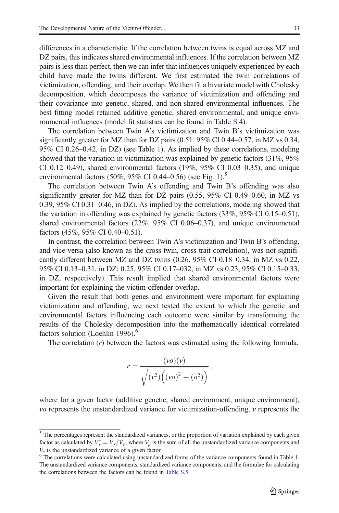differences in a characteristic. If the correlation between twins is equal across MZ and DZ pairs, this indicates shared environmental influences. If the correlation between MZ pairs is less than perfect, then we can infer that influences uniquely experienced by each child have made the twins different. We first estimated the twin correlations of victimization, offending, and their overlap. We then fit a bivariate model with Cholesky decomposition, which decomposes the variance of victimization and offending and their covariance into genetic, shared, and non-shared environmental influences. The best fitting model retained additive genetic, shared environmental, and unique environmental influences (model fit statistics can be found in Table S.4).

The correlation between Twin A's victimization and Twin B's victimization was significantly greater for MZ than for DZ pairs  $(0.51, 95\% \text{ CI } 0.44-0.57, \text{ in MZ vs } 0.34,$ 95% CI 0.26–0.42, in DZ) (see Table [1\)](#page-10-0). As implied by these correlations, modeling showed that the variation in victimization was explained by genetic factors (31%, 95% CI 0.12–0.49), shared environmental factors (19%, 95% CI 0.03–0.35), and unique environmental factors (50%, 95% CI 0.44–0.56) (see Fig. [1\)](#page-10-0).<sup>5</sup>

The correlation between Twin A's offending and Twin B's offending was also significantly greater for MZ than for DZ pairs (0.55, 95% CI 0.49–0.60, in MZ vs 0.39, 95% CI 0.31–0.46, in DZ). As implied by the correlations, modeling showed that the variation in offending was explained by genetic factors (33%, 95% CI 0.15–0.51), shared environmental factors (22%, 95% CI 0.06–0.37), and unique environmental factors (45%, 95% CI 0.40–0.51).

In contrast, the correlation between Twin A's victimization and Twin B's offending, and vice-versa (also known as the cross-twin, cross-trait correlation), was not significantly different between MZ and DZ twins (0.26, 95% CI 0.18–0.34, in MZ vs 0.22, 95% CI 0.13–0.31, in DZ; 0.25, 95% CI 0.17–032, in MZ vs 0.23, 95% CI 0.15–0.33, in DZ, respectively). This result implied that shared environmental factors were important for explaining the victim-offender overlap.

Given the result that both genes and environment were important for explaining victimization and offending, we next tested the extent to which the genetic and environmental factors influencing each outcome were similar by transforming the results of the Cholesky decomposition into the mathematically identical correlated factors solution (Loehlin 1996).<sup>6</sup>

The correlation  $(r)$  between the factors was estimated using the following formula;

$$
r = \frac{(vo)(v)}{\sqrt{(v^2)\left((vo)^2 + (o^2)\right)}},
$$

where for a given factor (additive genetic, shared environment, unique environment),  $vo$  represents the unstandardized variance for victimization-offending,  $v$  represents the

 $\frac{5}{5}$  The percentages represent the standardized variances, or the proportion of variation explained by each given factor as calculated by  $V_x^* = V_x/V_p$ , where  $V_p$  is the sum of all the unstandardized variance components and  $V_x$  is the unstandardized variance of a given factor.<br><sup>6</sup> The correlations were calculated using unstandardized forms of the variance components found in Table [1](#page-10-0).

The unstandardized variance components, standardized variance components, and the formulae for calculating the correlations between the factors can be found in Table S.5.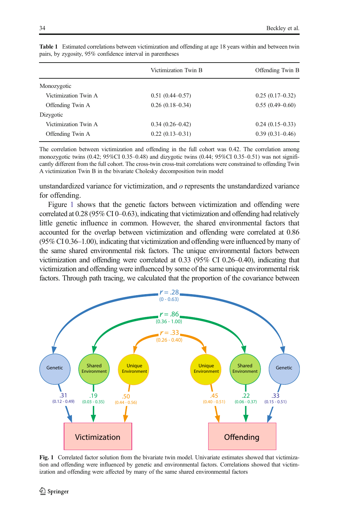|                      | Victimization Twin B | Offending Twin B    |  |  |
|----------------------|----------------------|---------------------|--|--|
| Monozygotic          |                      |                     |  |  |
| Victimization Twin A | $0.51(0.44 - 0.57)$  | $0.25(0.17-0.32)$   |  |  |
| Offending Twin A     | $0.26(0.18-0.34)$    | $0.55(0.49-0.60)$   |  |  |
| Dizygotic            |                      |                     |  |  |
| Victimization Twin A | $0.34(0.26 - 0.42)$  | $0.24(0.15-0.33)$   |  |  |
| Offending Twin A     | $0.22(0.13-0.31)$    | $0.39(0.31 - 0.46)$ |  |  |

<span id="page-10-0"></span>Table 1 Estimated correlations between victimization and offending at age 18 years within and between twin pairs, by zygosity, 95% confidence interval in parentheses

The correlation between victimization and offending in the full cohort was 0.42. The correlation among monozygotic twins (0.42; 95%CI 0.35–0.48) and dizygotic twins (0.44; 95%CI 0.35–0.51) was not significantly different from the full cohort. The cross-twin cross-trait correlations were constrained to offending Twin A victimization Twin B in the bivariate Cholesky decomposition twin model

unstandardized variance for victimization, and o represents the unstandardized variance for offending.

Figure 1 shows that the genetic factors between victimization and offending were correlated at 0.28 (95% CI 0–0.63), indicating that victimization and offending had relatively little genetic influence in common. However, the shared environmental factors that accounted for the overlap between victimization and offending were correlated at 0.86 (95% CI 0.36–1.00), indicating that victimization and offending were influenced by many of the same shared environmental risk factors. The unique environmental factors between victimization and offending were correlated at 0.33 (95% CI 0.26–0.40), indicating that victimization and offending were influenced by some of the same unique environmental risk factors. Through path tracing, we calculated that the proportion of the covariance between



Fig. 1 Correlated factor solution from the bivariate twin model. Univariate estimates showed that victimization and offending were influenced by genetic and environmental factors. Correlations showed that victimization and offending were affected by many of the same shared environmental factors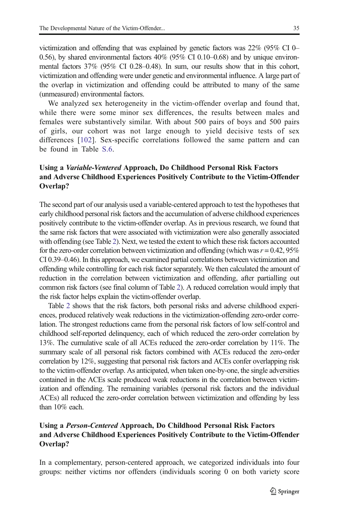victimization and offending that was explained by genetic factors was 22% (95% CI 0– 0.56), by shared environmental factors 40% (95% CI 0.10–0.68) and by unique environmental factors 37% (95% CI 0.28–0.48). In sum, our results show that in this cohort, victimization and offending were under genetic and environmental influence. A large part of the overlap in victimization and offending could be attributed to many of the same (unmeasured) environmental factors.

We analyzed sex heterogeneity in the victim-offender overlap and found that, while there were some minor sex differences, the results between males and females were substantively similar. With about 500 pairs of boys and 500 pairs of girls, our cohort was not large enough to yield decisive tests of sex differences [[102](#page-24-0)]. Sex-specific correlations followed the same pattern and can be found in Table S.6.

# Using a Variable-Ventered Approach, Do Childhood Personal Risk Factors and Adverse Childhood Experiences Positively Contribute to the Victim-Offender Overlap?

The second part of our analysis used a variable-centered approach to test the hypotheses that early childhood personal risk factors and the accumulation of adverse childhood experiences positively contribute to the victim-offender overlap. As in previous research, we found that the same risk factors that were associated with victimization were also generally associated with offending (see Table [2\)](#page-12-0). Next, we tested the extent to which these risk factors accounted for the zero-order correlation between victimization and offending (which was  $r = 0.42, 95\%$ CI 0.39–0.46). In this approach, we examined partial correlations between victimization and offending while controlling for each risk factor separately. We then calculated the amount of reduction in the correlation between victimization and offending, after partialling out common risk factors (see final column of Table [2\)](#page-12-0). A reduced correlation would imply that the risk factor helps explain the victim-offender overlap.

Table [2](#page-12-0) shows that the risk factors, both personal risks and adverse childhood experiences, produced relatively weak reductions in the victimization-offending zero-order correlation. The strongest reductions came from the personal risk factors of low self-control and childhood self-reported delinquency, each of which reduced the zero-order correlation by 13%. The cumulative scale of all ACEs reduced the zero-order correlation by 11%. The summary scale of all personal risk factors combined with ACEs reduced the zero-order correlation by 12%, suggesting that personal risk factors and ACEs confer overlapping risk to the victim-offender overlap. As anticipated, when taken one-by-one, the single adversities contained in the ACEs scale produced weak reductions in the correlation between victimization and offending. The remaining variables (personal risk factors and the individual ACEs) all reduced the zero-order correlation between victimization and offending by less than 10% each.

# Using a Person-Centered Approach, Do Childhood Personal Risk Factors and Adverse Childhood Experiences Positively Contribute to the Victim-Offender Overlap?

In a complementary, person-centered approach, we categorized individuals into four groups: neither victims nor offenders (individuals scoring 0 on both variety score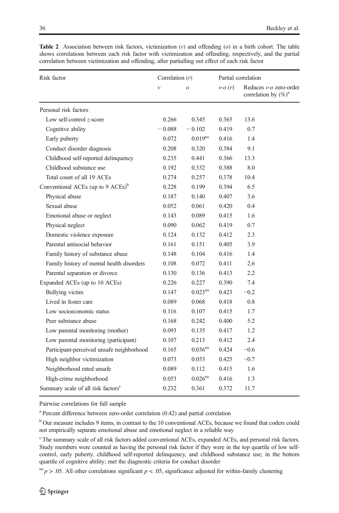| Risk factor                                    | Correlation $(r)$ |                     | Partial correlation |                                                   |  |  |
|------------------------------------------------|-------------------|---------------------|---------------------|---------------------------------------------------|--|--|
|                                                | $\mathcal{V}$     | $\overline{O}$      | $v$ - $o(r)$        | Reduces v-o zero-order<br>correlation by $(\%)^a$ |  |  |
| Personal risk factors                          |                   |                     |                     |                                                   |  |  |
| Low self-control $z$ -score                    | 0.266             | 0.345               | 0.365               | 13.6                                              |  |  |
| Cognitive ability                              | $-0.088$          | $-0.102$            | 0.419               | 0.7                                               |  |  |
| Early puberty                                  | 0.072             | 0.019 <sup>ns</sup> | 0.416               | 1.4                                               |  |  |
| Conduct disorder diagnosis                     | 0.208             | 0.320               | 0.384               | 9.1                                               |  |  |
| Childhood self-reported delinquency            | 0.235             | 0.441               | 0.366               | 13.3                                              |  |  |
| Childhood substance use                        | 0.192             | 0.332               | 0.388               | 8.0                                               |  |  |
| Total count of all 19 ACEs                     | 0.274             | 0.257               | 0.378               | 10.4                                              |  |  |
| Conventional ACEs (up to 9 ACEs) <sup>b</sup>  | 0.228             | 0.199               | 0.394               | 6.5                                               |  |  |
| Physical abuse                                 | 0.187             | 0.140               | 0.407               | 3.6                                               |  |  |
| Sexual abuse                                   | 0.052             | 0.061               | 0.420               | 0.4                                               |  |  |
| Emotional abuse or neglect                     | 0.143             | 0.089               | 0.415               | 1.6                                               |  |  |
| Physical neglect                               | 0.090             | 0.062               | 0.419               | 0.7                                               |  |  |
| Domestic violence exposure                     | 0.124             | 0.132               | 0.412               | 2.3                                               |  |  |
| Parental antisocial behavior                   | 0.161             | 0.151               | 0.405               | 3.9                                               |  |  |
| Family history of substance abuse              | 0.148             | 0.104               | 0.416               | 1.4                                               |  |  |
| Family history of mental health disorders      | 0.108             | 0.072               | 0.411               | 2.6                                               |  |  |
| Parental separation or divorce                 | 0.130             | 0.136               | 0.413               | 2.2                                               |  |  |
| Expanded ACEs (up to 10 ACEs)                  | 0.226             | 0.227               | 0.390               | 7.4                                               |  |  |
| Bullying victim                                | 0.147             | 0.023 <sup>ns</sup> | 0.423               | $-0.2$                                            |  |  |
| Lived in foster care                           | 0.089             | 0.068               | 0.418               | 0.8                                               |  |  |
| Low socioeconomic status                       | 0.116             | 0.107               | 0.415               | 1.7                                               |  |  |
| Peer substance abuse                           | 0.168             | 0.242               | 0.400               | 5.2                                               |  |  |
| Low parental monitoring (mother)               | 0.093             | 0.135               | 0.417               | 1.2                                               |  |  |
| Low parental monitoring (participant)          | 0.107             | 0.213               | 0.412               | 2.4                                               |  |  |
| Participant-perceived unsafe neighborhood      | 0.165             | $0.036^{\rm ns}$    | 0.424               | $-0.6$                                            |  |  |
| High neighbor victimization                    | 0.073             | 0.053               | 0.425               | $-0.7$                                            |  |  |
| Neighborhood rated unsafe                      | 0.089             | 0.112               | 0.415               | 1.6                                               |  |  |
| High-crime neighborhood                        | 0.053             | $0.026^{ns}$        | 0.416               | 1.3                                               |  |  |
| Summary scale of all risk factors <sup>c</sup> | 0.232             | 0.361               | 0.372               | 11.7                                              |  |  |

<span id="page-12-0"></span>**Table 2** Association between risk factors, victimization  $(v)$  and offending  $(o)$  in a birth cohort. The table shows correlations between each risk factor with victimization and offending, respectively, and the partial correlation between victimization and offending, after partialling out effect of each risk factor

Pairwise correlations for full sample

<sup>a</sup> Percent difference between zero-order correlation (0.42) and partial correlation

<sup>b</sup> Our measure includes 9 items, in contrast to the 10 conventional ACEs, because we found that coders could not empirically separate emotional abuse and emotional neglect in a reliable way

<sup>c</sup> The summary scale of all risk factors added conventional ACEs, expanded ACEs, and personal risk factors. Study members were counted as having the personal risk factor if they were in the top quartile of low selfcontrol, early puberty, childhood self-reported delinquency, and childhood substance use; in the bottom quartile of cognitive ability; met the diagnostic criteria for conduct disorder

ns  $p > 0.05$ . All other correlations significant  $p < 0.05$ , significance adjusted for within-family clustering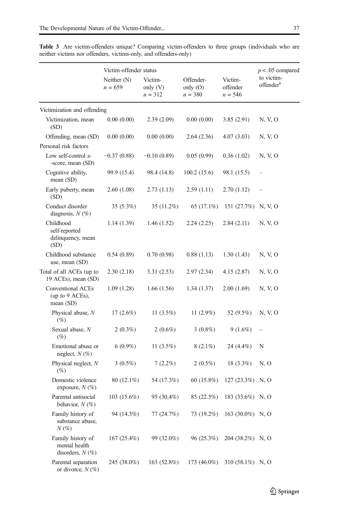|                                                             | Victim-offender status     | $p < .05$ compared                 |                                    |                                  |                                     |
|-------------------------------------------------------------|----------------------------|------------------------------------|------------------------------------|----------------------------------|-------------------------------------|
|                                                             | Neither $(N)$<br>$n = 659$ | Victim-<br>only $(V)$<br>$n = 312$ | Offender-<br>only (O)<br>$n = 380$ | Victim-<br>offender<br>$n = 546$ | to victim-<br>offender <sup>a</sup> |
| Victimization and offending                                 |                            |                                    |                                    |                                  |                                     |
| Victimization, mean<br>(SD)                                 | 0.00(0.00)                 | 2.39 (2.09)                        | 0.00(0.00)                         | 3.85(2.91)                       | N, V, O                             |
| Offending, mean (SD)                                        | 0.00(0.00)                 | 0.00(0.00)                         | 2.64 (2.36)                        | 4.07(3.03)                       | N, V, O                             |
| Personal risk factors                                       |                            |                                    |                                    |                                  |                                     |
| Low self-control z-<br>-score, mean (SD)                    | $-0.37(0.88)$              | $-0.10(0.89)$                      | 0.05(0.99)                         | 0.36(1.02)                       | N, V, O                             |
| Cognitive ability,<br>mean (SD)                             | 99.9 (15.4)                | 98.4 (14.8)                        | 100.2(15.6)                        | 98.1 (15.5)                      |                                     |
| Early puberty, mean<br>(SD)                                 | 2.60(1.08)                 | 2.73 (1.13)                        | 2.59(1.11)                         | 2.70(1.12)                       |                                     |
| Conduct disorder<br>diagnosis, $N(\%)$                      | 35 (5.3%)                  | 35 (11.2%)                         | 65 (17.1%)                         | 151 (27.7%)                      | N, V, O                             |
| Childhood<br>self-reported<br>delinquency, mean<br>(SD)     | 1.14(1.39)                 | 1.46(1.52)                         | 2.24(2.25)                         | 2.84(2.11)                       | N, V, O                             |
| Childhood substance<br>use, mean (SD)                       | 0.54(0.89)                 | 0.70(0.98)                         | 0.88(1.13)                         | 1.30(1.43)                       | N, V, O                             |
| Total of all ACEs (up to<br>19 ACEs), mean (SD)             | 2.30(2.18)                 | 3.31(2.53)                         | 2.97(2.34)                         | 4.15(2.87)                       | N, V, O                             |
| Conventional ACEs<br>(up to 9 ACEs),<br>mean $(SD)$         | 1.09(1.28)                 | 1.66(1.56)                         | 1.34(1.37)                         | 2.00(1.69)                       | N, V, O                             |
| Physical abuse, N<br>$(\%)$                                 | $17(2.6\%)$                | 11 $(3.5\%)$                       | 11 $(2.9\%)$                       | 52 (9.5%)                        | N, V, O                             |
| Sexual abuse, N<br>$(\%)$                                   | 2(0.3%)                    | $2(0.6\%)$                         | $3(0.8\%)$                         | $9(1.6\%)$                       |                                     |
| Emotional abuse or<br>neglect, $N$ (%)                      | $6(0.9\%)$                 | 11 $(3.5\%)$                       | $8(2.1\%)$                         | 24 (4.4%)                        | N                                   |
| Physical neglect, N<br>$(\%)$                               | $3(0.5\%)$                 | $7(2.2\%)$                         | $2(0.5\%)$                         | $18(3.3\%)$                      | N, O                                |
| Domestic violence<br>exposure, $N(\%)$                      | 80 (12.1%)                 | 54 (17.3%)                         | 60 (15.8%)                         | $127(23.3%)$ N, O                |                                     |
| Parental antisocial<br>behavior, $N(\%)$                    | $103(15.6\%)$              | 95 (30.4%)                         | 85 (22.5%)                         | 183 $(33.6\%)$ N, O              |                                     |
| Family history of<br>substance abuse,<br>$N\left(\%\right)$ | 94 (14.3%)                 | 77 (24.7%)                         | 73 (19.2%)                         | 163 (30.0%) N, O                 |                                     |
| Family history of<br>mental health<br>disorders, $N(\%)$    | 167(25.4%)                 | 99 (32.0%)                         | 96 (25.3%)                         | 204 (38.2%) N, O                 |                                     |
| Parental separation<br>or divorce, $N(\%)$                  | 245 (38.0%)                | 163 (52.8%)                        | 173 (46.0%)                        | 310 $(58.1\%)$ N, O              |                                     |

<span id="page-13-0"></span>Table 3 Are victim-offenders unique? Comparing victim-offenders to three groups (individuals who are neither victims nor offenders, victims-only, and offenders-only)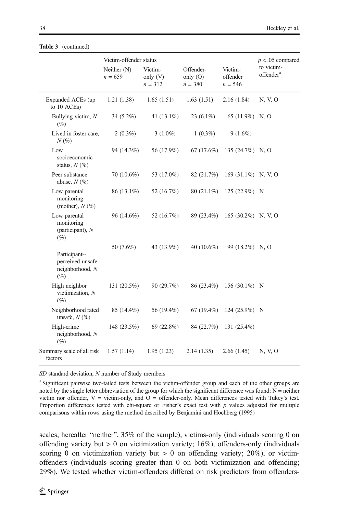|                                                                | Victim-offender status<br>Neither (N)<br>$n = 659$ | Victim-<br>only $(V)$<br>$n = 312$ | Offender-<br>only $(O)$<br>$n = 380$ | Victim-<br>offender<br>$n = 546$ | $p < .05$ compared<br>to victim-<br>offender <sup>a</sup> |  |
|----------------------------------------------------------------|----------------------------------------------------|------------------------------------|--------------------------------------|----------------------------------|-----------------------------------------------------------|--|
| Expanded ACEs (up<br>to 10 ACEs)                               | 1.21(1.38)                                         | 1.65(1.51)                         | 1.63(1.51)                           | 2.16(1.84)                       | N, V, O                                                   |  |
| Bullying victim, N<br>$(\%)$                                   | 34 (5.2%)                                          | 41 $(13.1\%)$                      | $23(6.1\%)$                          | 65 (11.9%) N, O                  |                                                           |  |
| Lived in foster care,<br>$N(\%)$                               | $2(0.3\%)$                                         | $3(1.0\%)$                         | $1(0.3\%)$                           | $9(1.6\%)$                       |                                                           |  |
| Low<br>socioeconomic<br>status, $N(\%)$                        | 94 (14.3%)                                         | 56 (17.9%)                         | 67(17.6%)                            | 135 (24.7%) N, O                 |                                                           |  |
| Peer substance<br>abuse, $N(\%)$                               | 70 (10.6%)                                         | 53 (17.0%)                         | 82 (21.7%)                           | 169 (31.1%) N, V, O              |                                                           |  |
| Low parental<br>monitoring<br>(mother), $N(\%)$                | 86 (13.1%)                                         | 52 (16.7%)                         | 80 (21.1%)                           | 125 (22.9%) N                    |                                                           |  |
| Low parental<br>monitoring<br>(participant), $N$<br>$(\%)$     | 96 (14.6%)                                         | 52 (16.7%)                         | 89 (23.4%)                           | 165 (30.2%) N, V, O              |                                                           |  |
| Participant--<br>perceived unsafe<br>neighborhood, N<br>$(\%)$ | 50 (7.6%)                                          | 43 (13.9%)                         | 40 $(10.6\%)$                        | 99 (18.2%) N, O                  |                                                           |  |
| High neighbor<br>victimization, N<br>$(\%)$                    | 131 (20.5%)                                        | 90 (29.7%)                         | 86 (23.4%)                           | 156 $(30.1\%)$ N                 |                                                           |  |
| Neighborhood rated<br>unsafe, $N(\%)$                          | 85 (14.4%)                                         | 56 (19.4%)                         | $67(19.4\%)$                         | 124 (25.9%) N                    |                                                           |  |
| High-crime<br>neighborhood, N<br>$(\% )$                       | 148 (23.5%)                                        | 69 (22.8%)                         | 84 (22.7%)                           | $131 (25.4\%) -$                 |                                                           |  |
| Summary scale of all risk<br>factors                           | 1.57(1.14)                                         | 1.95(1.23)                         | 2.14(1.35)                           | 2.66 (1.45)                      | N, V, O                                                   |  |

#### Table 3 (continued)

SD standard deviation, N number of Study members

<sup>a</sup> Significant pairwise two-tailed tests between the victim-offender group and each of the other groups are noted by the single letter abbreviation of the group for which the significant difference was found:  $N =$  neither victim nor offender,  $V =$  victim-only, and  $O =$  offender-only. Mean differences tested with Tukey's test. Proportion differences tested with chi-square or Fisher's exact test with  $p$  values adjusted for multiple comparisons within rows using the method described by Benjamini and Hochberg (1995)

scales; hereafter "neither", 35% of the sample), victims-only (individuals scoring 0 on offending variety but > 0 on victimization variety; 16%), offenders-only (individuals scoring 0 on victimization variety but  $> 0$  on offending variety; 20%), or victimoffenders (individuals scoring greater than 0 on both victimization and offending; 29%). We tested whether victim-offenders differed on risk predictors from offenders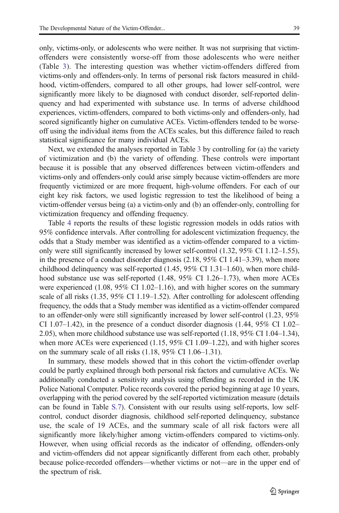only, victims-only, or adolescents who were neither. It was not surprising that victimoffenders were consistently worse-off from those adolescents who were neither (Table [3](#page-13-0)). The interesting question was whether victim-offenders differed from victims-only and offenders-only. In terms of personal risk factors measured in childhood, victim-offenders, compared to all other groups, had lower self-control, were significantly more likely to be diagnosed with conduct disorder, self-reported delinquency and had experimented with substance use. In terms of adverse childhood experiences, victim-offenders, compared to both victims-only and offenders-only, had scored significantly higher on cumulative ACEs. Victim-offenders tended to be worseoff using the individual items from the ACEs scales, but this difference failed to reach statistical significance for many individual ACEs.

Next, we extended the analyses reported in Table [3](#page-13-0) by controlling for (a) the variety of victimization and (b) the variety of offending. These controls were important because it is possible that any observed differences between victim-offenders and victims-only and offenders-only could arise simply because victim-offenders are more frequently victimized or are more frequent, high-volume offenders. For each of our eight key risk factors, we used logistic regression to test the likelihood of being a victim-offender versus being (a) a victim-only and (b) an offender-only, controlling for victimization frequency and offending frequency.

Table [4](#page-16-0) reports the results of these logistic regression models in odds ratios with 95% confidence intervals. After controlling for adolescent victimization frequency, the odds that a Study member was identified as a victim-offender compared to a victimonly were still significantly increased by lower self-control (1.32, 95% CI 1.12–1.55), in the presence of a conduct disorder diagnosis (2.18, 95% CI 1.41–3.39), when more childhood delinquency was self-reported  $(1.45, 95\% \text{ CI } 1.31-1.60)$ , when more childhood substance use was self-reported (1.48, 95% CI 1.26–1.73), when more ACEs were experienced (1.08, 95% CI 1.02–1.16), and with higher scores on the summary scale of all risks (1.35, 95% CI 1.19–1.52). After controlling for adolescent offending frequency, the odds that a Study member was identified as a victim-offender compared to an offender-only were still significantly increased by lower self-control (1.23, 95% CI 1.07–1.42), in the presence of a conduct disorder diagnosis  $(1.44, 95\% \text{ CI } 1.02-$ 2.05), when more childhood substance use was self-reported (1.18, 95% CI 1.04–1.34), when more ACEs were experienced (1.15, 95% CI 1.09–1.22), and with higher scores on the summary scale of all risks (1.18, 95% CI 1.06–1.31).

In summary, these models showed that in this cohort the victim-offender overlap could be partly explained through both personal risk factors and cumulative ACEs. We additionally conducted a sensitivity analysis using offending as recorded in the UK Police National Computer. Police records covered the period beginning at age 10 years, overlapping with the period covered by the self-reported victimization measure (details can be found in Table S.7). Consistent with our results using self-reports, low selfcontrol, conduct disorder diagnosis, childhood self-reported delinquency, substance use, the scale of 19 ACEs, and the summary scale of all risk factors were all significantly more likely/higher among victim-offenders compared to victims-only. However, when using official records as the indicator of offending, offenders-only and victim-offenders did not appear significantly different from each other, probably because police-recorded offenders—whether victims or not—are in the upper end of the spectrum of risk.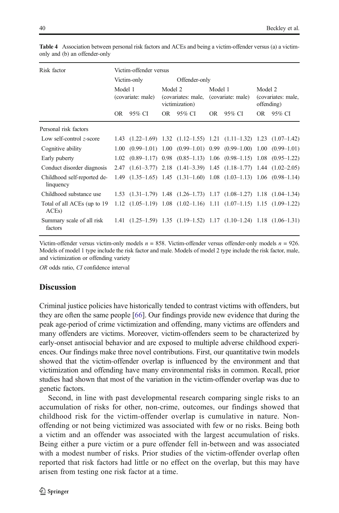| Risk factor                                                                                                           | Victim-offender versus                      |        |                                                                   |               |         |                                                                                     |                                             |           |
|-----------------------------------------------------------------------------------------------------------------------|---------------------------------------------|--------|-------------------------------------------------------------------|---------------|---------|-------------------------------------------------------------------------------------|---------------------------------------------|-----------|
|                                                                                                                       | Victim-only<br>Model 1<br>(covariate: male) |        |                                                                   | Offender-only |         |                                                                                     |                                             |           |
|                                                                                                                       |                                             |        | Model 2<br>(covariates: male, (covariate: male)<br>victimization) |               | Model 1 |                                                                                     | Model 2<br>(covariates: male,<br>offending) |           |
|                                                                                                                       | OR.                                         | 95% CI |                                                                   | OR 95% CI     | OR -    | 95% CI                                                                              |                                             | OR 95% CI |
| Personal risk factors                                                                                                 |                                             |        |                                                                   |               |         |                                                                                     |                                             |           |
| Low self-control z-score                                                                                              |                                             |        |                                                                   |               |         | $1.43$ $(1.22-1.69)$ $1.32$ $(1.12-1.55)$ $1.21$ $(1.11-1.32)$ $1.23$ $(1.07-1.42)$ |                                             |           |
| Cognitive ability                                                                                                     |                                             |        |                                                                   |               |         | $1.00$ $(0.99-1.01)$ $1.00$ $(0.99-1.01)$ $0.99$ $(0.99-1.00)$ $1.00$ $(0.99-1.01)$ |                                             |           |
| Early puberty                                                                                                         |                                             |        |                                                                   |               |         | $1.02$ $(0.89-1.17)$ $0.98$ $(0.85-1.13)$ $1.06$ $(0.98-1.15)$ $1.08$ $(0.95-1.22)$ |                                             |           |
| Conduct disorder diagnosis                                                                                            |                                             |        |                                                                   |               |         | $2.47$ $(1.61-3.77)$ $2.18$ $(1.41-3.39)$ $1.45$ $(1.18-1.77)$ $1.44$ $(1.02-2.05)$ |                                             |           |
| Childhood self-reported de-<br>linguency                                                                              |                                             |        |                                                                   |               |         | $1.49$ $(1.35-1.65)$ $1.45$ $(1.31-1.60)$ $1.08$ $(1.03-1.13)$ $1.06$ $(0.98-1.14)$ |                                             |           |
| Childhood substance use                                                                                               |                                             |        |                                                                   |               |         | $1.53$ $(1.31-1.79)$ $1.48$ $(1.26-1.73)$ $1.17$ $(1.08-1.27)$ $1.18$ $(1.04-1.34)$ |                                             |           |
| Total of all ACEs (up to 19 1.12 (1.05–1.19) 1.08 (1.02–1.16) 1.11 (1.07–1.15) 1.15 (1.09–1.22)<br>ACE <sub>s</sub> ) |                                             |        |                                                                   |               |         |                                                                                     |                                             |           |
| Summary scale of all risk<br>factors                                                                                  |                                             |        |                                                                   |               |         | $1.41$ $(1.25-1.59)$ $1.35$ $(1.19-1.52)$ $1.17$ $(1.10-1.24)$ $1.18$ $(1.06-1.31)$ |                                             |           |

<span id="page-16-0"></span>Table 4 Association between personal risk factors and ACEs and being a victim-offender versus (a) a victimonly and (b) an offender-only

Victim-offender versus victim-only models  $n = 858$ . Victim-offender versus offender-only models  $n = 926$ . Models of model 1 type include the risk factor and male. Models of model 2 type include the risk factor, male, and victimization or offending variety

OR odds ratio, CI confidence interval

### **Discussion**

Criminal justice policies have historically tended to contrast victims with offenders, but they are often the same people [[66](#page-22-0)]. Our findings provide new evidence that during the peak age-period of crime victimization and offending, many victims are offenders and many offenders are victims. Moreover, victim-offenders seem to be characterized by early-onset antisocial behavior and are exposed to multiple adverse childhood experiences. Our findings make three novel contributions. First, our quantitative twin models showed that the victim-offender overlap is influenced by the environment and that victimization and offending have many environmental risks in common. Recall, prior studies had shown that most of the variation in the victim-offender overlap was due to genetic factors.

Second, in line with past developmental research comparing single risks to an accumulation of risks for other, non-crime, outcomes, our findings showed that childhood risk for the victim-offender overlap is cumulative in nature. Nonoffending or not being victimized was associated with few or no risks. Being both a victim and an offender was associated with the largest accumulation of risks. Being either a pure victim or a pure offender fell in-between and was associated with a modest number of risks. Prior studies of the victim-offender overlap often reported that risk factors had little or no effect on the overlap, but this may have arisen from testing one risk factor at a time.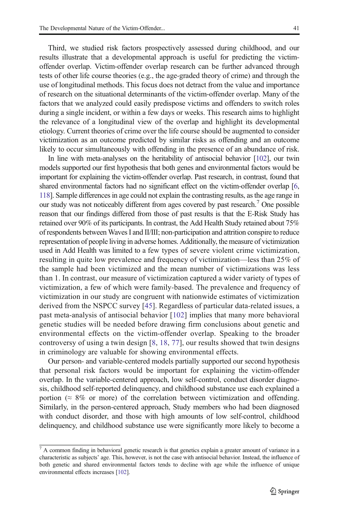Third, we studied risk factors prospectively assessed during childhood, and our results illustrate that a developmental approach is useful for predicting the victimoffender overlap. Victim-offender overlap research can be further advanced through tests of other life course theories (e.g., the age-graded theory of crime) and through the use of longitudinal methods. This focus does not detract from the value and importance of research on the situational determinants of the victim-offender overlap. Many of the factors that we analyzed could easily predispose victims and offenders to switch roles during a single incident, or within a few days or weeks. This research aims to highlight the relevance of a longitudinal view of the overlap and highlight its developmental etiology. Current theories of crime over the life course should be augmented to consider victimization as an outcome predicted by similar risks as offending and an outcome likely to occur simultaneously with offending in the presence of an abundance of risk.

In line with meta-analyses on the heritability of antisocial behavior [\[102\]](#page-24-0), our twin models supported our first hypothesis that both genes and environmental factors would be important for explaining the victim-offender overlap. Past research, in contrast, found that shared environmental factors had no significant effect on the victim-offender overlap [\[6,](#page-20-0) [118\]](#page-25-0). Sample differences in age could not explain the contrasting results, as the age range in our study was not noticeably different from ages covered by past research.<sup>7</sup> One possible reason that our findings differed from those of past results is that the E-Risk Study has retained over 90% of its participants. In contrast, the Add Health Study retained about 75% of respondents between Waves I and II/III; non-participation and attrition conspire to reduce representation of people living in adverse homes. Additionally, the measure of victimization used in Add Health was limited to a few types of severe violent crime victimization, resulting in quite low prevalence and frequency of victimization—less than 25% of the sample had been victimized and the mean number of victimizations was less than 1. In contrast, our measure of victimization captured a wider variety of types of victimization, a few of which were family-based. The prevalence and frequency of victimization in our study are congruent with nationwide estimates of victimization derived from the NSPCC survey [[45\]](#page-22-0). Regardless of particular data-related issues, a past meta-analysis of antisocial behavior [[102](#page-24-0)] implies that many more behavioral genetic studies will be needed before drawing firm conclusions about genetic and environmental effects on the victim-offender overlap. Speaking to the broader controversy of using a twin design [[8](#page-20-0), [18](#page-20-0), [77\]](#page-23-0), our results showed that twin designs in criminology are valuable for showing environmental effects.

Our person- and variable-centered models partially supported our second hypothesis that personal risk factors would be important for explaining the victim-offender overlap. In the variable-centered approach, low self-control, conduct disorder diagnosis, childhood self-reported delinquency, and childhood substance use each explained a portion ( $\approx 8\%$  or more) of the correlation between victimization and offending. Similarly, in the person-centered approach, Study members who had been diagnosed with conduct disorder, and those with high amounts of low self-control, childhood delinquency, and childhood substance use were significantly more likely to become a

<sup>7</sup> A common finding in behavioral genetic research is that genetics explain a greater amount of variance in a characteristic as subjects' age. This, however, is not the case with antisocial behavior. Instead, the influence of both genetic and shared environmental factors tends to decline with age while the influence of unique environmental effects increases [[102](#page-24-0)].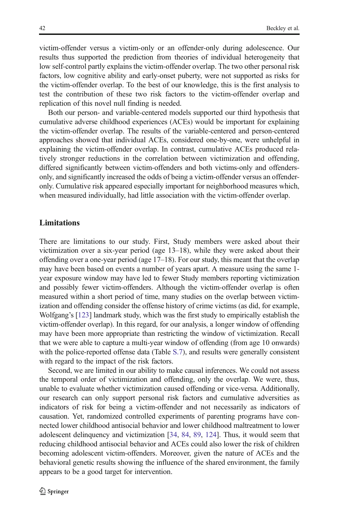victim-offender versus a victim-only or an offender-only during adolescence. Our results thus supported the prediction from theories of individual heterogeneity that low self-control partly explains the victim-offender overlap. The two other personal risk factors, low cognitive ability and early-onset puberty, were not supported as risks for the victim-offender overlap. To the best of our knowledge, this is the first analysis to test the contribution of these two risk factors to the victim-offender overlap and replication of this novel null finding is needed.

Both our person- and variable-centered models supported our third hypothesis that cumulative adverse childhood experiences (ACEs) would be important for explaining the victim-offender overlap. The results of the variable-centered and person-centered approaches showed that individual ACEs, considered one-by-one, were unhelpful in explaining the victim-offender overlap. In contrast, cumulative ACEs produced relatively stronger reductions in the correlation between victimization and offending, differed significantly between victim-offenders and both victims-only and offendersonly, and significantly increased the odds of being a victim-offender versus an offenderonly. Cumulative risk appeared especially important for neighborhood measures which, when measured individually, had little association with the victim-offender overlap.

# Limitations

There are limitations to our study. First, Study members were asked about their victimization over a six-year period (age 13–18), while they were asked about their offending over a one-year period (age 17–18). For our study, this meant that the overlap may have been based on events a number of years apart. A measure using the same 1 year exposure window may have led to fewer Study members reporting victimization and possibly fewer victim-offenders. Although the victim-offender overlap is often measured within a short period of time, many studies on the overlap between victimization and offending consider the offense history of crime victims (as did, for example, Wolfgang's [\[123\]](#page-25-0) landmark study, which was the first study to empirically establish the victim-offender overlap). In this regard, for our analysis, a longer window of offending may have been more appropriate than restricting the window of victimization. Recall that we were able to capture a multi-year window of offending (from age 10 onwards) with the police-reported offense data (Table S.7), and results were generally consistent with regard to the impact of the risk factors.

Second, we are limited in our ability to make causal inferences. We could not assess the temporal order of victimization and offending, only the overlap. We were, thus, unable to evaluate whether victimization caused offending or vice-versa. Additionally, our research can only support personal risk factors and cumulative adversities as indicators of risk for being a victim-offender and not necessarily as indicators of causation. Yet, randomized controlled experiments of parenting programs have connected lower childhood antisocial behavior and lower childhood maltreatment to lower adolescent delinquency and victimization [[34,](#page-21-0) [84](#page-23-0), [89,](#page-23-0) [124\]](#page-25-0). Thus, it would seem that reducing childhood antisocial behavior and ACEs could also lower the risk of children becoming adolescent victim-offenders. Moreover, given the nature of ACEs and the behavioral genetic results showing the influence of the shared environment, the family appears to be a good target for intervention.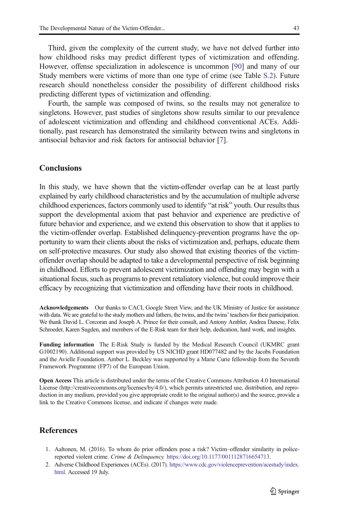<span id="page-19-0"></span>Third, given the complexity of the current study, we have not delved further into how childhood risks may predict different types of victimization and offending. However, offense specialization in adolescence is uncommon [[90](#page-24-0)] and many of our Study members were victims of more than one type of crime (see Table S.2). Future research should nonetheless consider the possibility of different childhood risks predicting different types of victimization and offending.

Fourth, the sample was composed of twins, so the results may not generalize to singletons. However, past studies of singletons show results similar to our prevalence of adolescent victimization and offending and childhood conventional ACEs. Additionally, past research has demonstrated the similarity between twins and singletons in antisocial behavior and risk factors for antisocial behavior [[7\]](#page-20-0).

# **Conclusions**

In this study, we have shown that the victim-offender overlap can be at least partly explained by early childhood characteristics and by the accumulation of multiple adverse childhood experiences, factors commonly used to identify "at risk" youth. Our results thus support the developmental axiom that past behavior and experience are predictive of future behavior and experience, and we extend this observation to show that it applies to the victim-offender overlap. Established delinquency-prevention programs have the opportunity to warn their clients about the risks of victimization and, perhaps, educate them on self-protective measures. Our study also showed that existing theories of the victimoffender overlap should be adapted to take a developmental perspective of risk beginning in childhood. Efforts to prevent adolescent victimization and offending may begin with a situational focus, such as programs to prevent retaliatory violence, but could improve their efficacy by recognizing that victimization and offending have their roots in childhood.

Acknowledgements Our thanks to CACI, Google Street View, and the UK Ministry of Justice for assistance with data. We are grateful to the study mothers and fathers, the twins, and the twins' teachers for their participation. We thank David L. Corcoran and Joseph A. Prince for their consult, and Antony Ambler, Andrea Danese, Felix Schroeder, Karen Sugden, and members of the E-Risk team for their help, dedication, hard work, and insights.

Funding information The E-Risk Study is funded by the Medical Research Council (UKMRC grant G1002190). Additional support was provided by US NICHD grant HD077482 and by the Jacobs Foundation and the Avielle Foundation. Amber L. Beckley was supported by a Marie Curie fellowship from the Seventh Framework Programme (FP7) of the European Union.

Open Access This article is distributed under the terms of the Creative Commons Attribution 4.0 International License (http://creativecommons.org/licenses/by/4.0/), which permits unrestricted use, distribution, and reproduction in any medium, provided you give appropriate credit to the original author(s) and the source, provide a link to the Creative Commons license, and indicate if changes were made.

# **References**

- 1. Aaltonen, M. (2016). To whom do prior offenders pose a risk? Victim–offender similarity in policereported violent crime. Crime & Delinquency. [https://doi.org/10.1177/0011128716654713.](https://doi.org/10.1177/0011128716654713)
- 2. Adverse Childhood Experiences (ACEs). (2017). [https://www.cdc.gov/violenceprevention/acestudy/index.](https://www.cdc.gov/violenceprevention/acestudy/index.html) [html](https://www.cdc.gov/violenceprevention/acestudy/index.html). Accessed 19 July.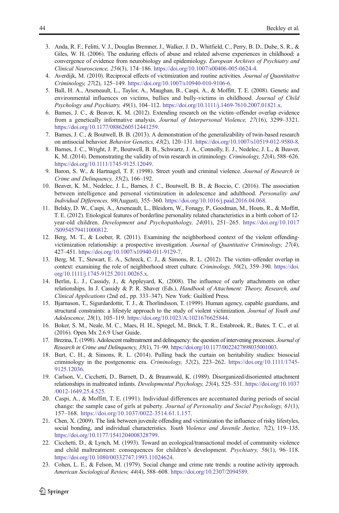- <span id="page-20-0"></span>3. Anda, R. F., Felitti, V. J., Douglas Bremner, J., Walker, J. D., Whitfield, C., Perry, B. D., Dube, S. R., & Giles, W. H. (2006). The enduring effects of abuse and related adverse experiences in childhood: a convergence of evidence from neurobiology and epidemiology. European Archives of Psychiatry and Clinical Neuroscience, 256(3), 174–186. <https://doi.org/10.1007/s00406-005-0624-4>.
- 4. Averdijk, M. (2010). Reciprocal effects of victimization and routine activities. Journal of Quantitative Criminology, 27(2), 125–149. <https://doi.org/10.1007/s10940-010-9106-6>.
- 5. Ball, H. A., Arseneault, L., Taylor, A., Maughan, B., Caspi, A., & Moffitt, T. E. (2008). Genetic and environmental influences on victims, bullies and bully-victims in childhood. Journal of Child Psychology and Psychiatry, 49(1), 104–112. <https://doi.org/10.1111/j.1469-7610.2007.01821.x>.
- 6. Barnes, J. C., & Beaver, K. M. (2012). Extending research on the victim–offender overlap evidence from a genetically informative analysis. Journal of Interpersonal Violence, 27(16), 3299–3321. <https://doi.org/10.1177/0886260512441259>.
- 7. Barnes, J. C., & Boutwell, B. B. (2013). A demonstration of the generalizability of twin-based research on antisocial behavior. Behavior Genetics, 43(2), 120–131. <https://doi.org/10.1007/s10519-012-9580-8>.
- 8. Barnes, J. C., Wright, J. P., Boutwell, B. B., Schwartz, J. A., Connolly, E. J., Nedelec, J. L., & Beaver, K. M. (2014). Demonstrating the validity of twin research in criminology. Criminology, 52(4), 588–626. [https://doi.org/10.1111/1745-9125.12049.](https://doi.org/10.1111/1745-9125.12049)
- 9. Baron, S. W., & Hartnagel, T. F. (1998). Street youth and criminal violence. Journal of Research in Crime and Delinquency, 35(2), 166–192.
- 10. Beaver, K. M., Nedelec, J. L., Barnes, J. C., Boutwell, B. B., & Boccio, C. (2016). The association between intelligence and personal victimization in adolescence and adulthood. Personality and Individual Differences, 98(August), 355–360. [https://doi.org/10.1016/j.paid.2016.04.068.](https://doi.org/10.1016/j.paid.2016.04.068)
- 11. Belsky, D. W., Caspi, A., Arseneault, L., Bleidorn, W., Fonagy, P., Goodman, M., Houts, R., & Moffitt, T. E. (2012). Etiological features of borderline personality related characteristics in a birth cohort of 12 year-old children. Development and Psychopathology, 24(01), 251–265. [https://doi.org/10.1017](https://doi.org/10.1017/S0954579411000812) [/S0954579411000812](https://doi.org/10.1017/S0954579411000812).
- 12. Berg, M. T., & Loeber, R. (2011). Examining the neighborhood context of the violent offendingvictimization relationship: a prospective investigation. Journal of Quantitative Criminology, 27(4), 427–451. <https://doi.org/10.1007/s10940-011-9129-7>.
- 13. Berg, M. T., Stewart, E. A., Schreck, C. J., & Simons, R. L. (2012). The victim–offender overlap in context: examining the role of neighborhood street culture. Criminology, 50(2), 359–390. [https://doi.](https://doi.org/10.1111/j.1745-9125.2011.00265.x) [org/10.1111/j.1745-9125.2011.00265.x.](https://doi.org/10.1111/j.1745-9125.2011.00265.x)
- 14. Berlin, L. J., Cassidy, J., & Appleyard, K. (2008). The influence of early attachments on other relationships. In J. Cassidy & P. R. Shaver (Eds.), Handbook of Attachment: Theory, Research, and Clinical Applications (2nd ed., pp. 333–347). New York: Guilford Press.
- 15. Bjarnason, T., Sigurdardottir, T. J., & Thorlindsson, T. (1999). Human agency, capable guardians, and structural constraints: a lifestyle approach to the study of violent victimization. Journal of Youth and Adolescence, 28(1), 105–119. <https://doi.org/10.1023/A:1021676625844>.
- 16. Boker, S. M., Neale, M. C., Maes, H. H., Spiegel, M., Brick, T. R., Estabrook, R., Bates, T. C., et al. (2016). Open Mx 2.6.9 User Guide.
- 17. Brezina, T. (1998). Adolescent maltreatment and delinquency: the question of intervening processes. Journal of Research in Crime and Delinquency, 35(1), 71–99. <https://doi.org/10.1177/0022427898035001003>.
- 18. Burt, C. H., & Simons, R. L. (2014). Pulling back the curtain on heritability studies: biosocial criminology in the postgenomic era. Criminology, 52(2), 223–262. [https://doi.org/10.1111/1745-](https://doi.org/10.1111/1745-9125.12036) [9125.12036.](https://doi.org/10.1111/1745-9125.12036)
- 19. Carlson, V., Cicchetti, D., Barnett, D., & Braunwald, K. (1989). Disorganized/disoriented attachment relationships in maltreated infants. Developmental Psychology, 25(4), 525–531. [https://doi.org/10.1037](https://doi.org/10.1037/0012-1649.25.4.525) [/0012-1649.25.4.525](https://doi.org/10.1037/0012-1649.25.4.525).
- 20. Caspi, A., & Moffitt, T. E. (1991). Individual differences are accentuated during periods of social change: the sample case of girls at puberty. Journal of Personality and Social Psychology, 61(1), 157–168. <https://doi.org/10.1037/0022-3514.61.1.157>.
- 21. Chen, X. (2009). The link between juvenile offending and victimization the influence of risky lifestyles, social bonding, and individual characteristics. Youth Violence and Juvenile Justice, 7(2), 119-135. <https://doi.org/10.1177/1541204008328799>.
- 22. Cicchetti, D., & Lynch, M. (1993). Toward an ecological/transactional model of community violence and child maltreatment: consequences for children's development. Psychiatry, 56(1), 96–118. [https://doi.org/10.1080/00332747.1993.11024624.](https://doi.org/10.1080/00332747.1993.11024624)
- 23. Cohen, L. E., & Felson, M. (1979). Social change and crime rate trends: a routine activity approach. American Sociological Review, 44(4), 588–608. [https://doi.org/10.2307/2094589.](https://doi.org/10.2307/2094589)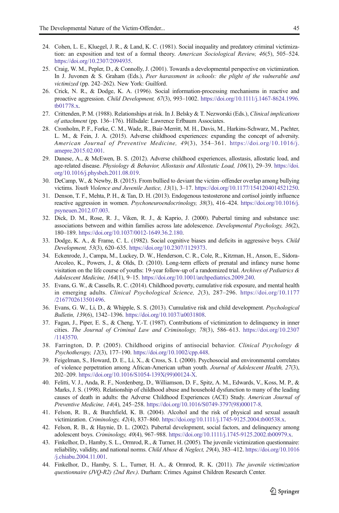- <span id="page-21-0"></span>24. Cohen, L. E., Kluegel, J. R., & Land, K. C. (1981). Social inequality and predatory criminal victimization: an exposition and test of a formal theory. American Sociological Review, 46(5), 505–524. [https://doi.org/10.2307/2094935.](https://doi.org/10.2307/2094935)
- 25. Craig, W. M., Pepler, D., & Connolly, J. (2001). Towards a developmental perspective on victimization. In J. Juvonen & S. Graham (Eds.), Peer harassment in schools: the plight of the vulnerable and victimized (pp. 242–262). New York: Guilford.
- 26. Crick, N. R., & Dodge, K. A. (1996). Social information-processing mechanisms in reactive and proactive aggression. Child Development, 67(3), 993–1002. [https://doi.org/10.1111/j.1467-8624.1996.](https://doi.org/10.1111/j.1467-8624.1996.tb01778.x) [tb01778.x.](https://doi.org/10.1111/j.1467-8624.1996.tb01778.x)
- 27. Crittenden, P. M. (1988). Relationships at risk. In J. Belsky & T. Nezworski (Eds.), Clinical implications of attachment (pp. 136–176). Hillsdale: Lawrence Erlbaum Associates.
- 28. Cronholm, P. F., Forke, C. M., Wade, R., Bair-Merritt, M. H., Davis, M., Harkins-Schwarz, M., Pachter, L. M., & Fein, J. A. (2015). Adverse childhood experiences: expanding the concept of adversity. American Journal of Preventive Medicine, 49(3), 354–361. [https://doi.org/10.1016/j.](https://doi.org/10.1016/j.amepre.2015.02.001) [amepre.2015.02.001.](https://doi.org/10.1016/j.amepre.2015.02.001)
- 29. Danese, A., & McEwen, B. S. (2012). Adverse childhood experiences, allostasis, allostatic load, and age-related disease. Physiology & Behavior, Allostasis and Allostatic Load, 106(1), 29–39. [https://doi.](https://doi.org/10.1016/j.physbeh.2011.08.019) [org/10.1016/j.physbeh.2011.08.019.](https://doi.org/10.1016/j.physbeh.2011.08.019)
- 30. DeCamp, W., & Newby, B. (2015). From bullied to deviant the victim–offender overlap among bullying victims. Youth Violence and Juvenile Justice, 13(1), 3–17. <https://doi.org/10.1177/1541204014521250>.
- 31. Denson, T. F., Mehta, P. H., & Tan, D. H. (2013). Endogenous testosterone and cortisol jointly influence reactive aggression in women. Psychoneuroendocrinology, 38(3), 416–424. [https://doi.org/10.1016/j.](https://doi.org/10.1016/j.psyneuen.2012.07.003) [psyneuen.2012.07.003](https://doi.org/10.1016/j.psyneuen.2012.07.003).
- 32. Dick, D. M., Rose, R. J., Viken, R. J., & Kaprio, J. (2000). Pubertal timing and substance use: associations between and within families across late adolescence. Developmental Psychology, 36(2), 180–189. <https://doi.org/10.1037/0012-1649.36.2.180>.
- 33. Dodge, K. A., & Frame, C. L. (1982). Social cognitive biases and deficits in aggressive boys. Child Development, 53(3), 620–635. [https://doi.org/10.2307/1129373.](https://doi.org/10.2307/1129373)
- 34. Eckenrode, J., Campa, M., Luckey, D. W., Henderson, C. R., Cole, R., Kitzman, H., Anson, E., Sidora-Arcoleo, K., Powers, J., & Olds, D. (2010). Long-term effects of prenatal and infancy nurse home visitation on the life course of youths: 19-year follow-up of a randomized trial. Archives of Pediatrics & Adolescent Medicine, 164(1), 9–15. <https://doi.org/10.1001/archpediatrics.2009.240>.
- 35. Evans, G. W., & Cassells, R. C. (2014). Childhood poverty, cumulative risk exposure, and mental health in emerging adults. Clinical Psychological Science, 2(3), 287–296. [https://doi.org/10.1177](https://doi.org/10.1177/2167702613501496) [/2167702613501496.](https://doi.org/10.1177/2167702613501496)
- 36. Evans, G. W., Li, D., & Whipple, S. S. (2013). Cumulative risk and child development. Psychological Bulletin, 139(6), 1342–1396. <https://doi.org/10.1037/a0031808>.
- 37. Fagan, J., Piper, E. S., & Cheng, Y.-T. (1987). Contributions of victimization to delinquency in inner cities. The Journal of Criminal Law and Criminology, 78(3), 586–613. [https://doi.org/10.2307](https://doi.org/10.2307/1143570) [/1143570.](https://doi.org/10.2307/1143570)
- 38. Farrington, D. P. (2005). Childhood origins of antisocial behavior. Clinical Psychology & Psychotherapy, 12(3), 177–190. [https://doi.org/10.1002/cpp.448.](https://doi.org/10.1002/cpp.448)
- 39. Feigelman, S., Howard, D. E., Li, X., & Cross, S. I. (2000). Psychosocial and environmental correlates of violence perpetration among African-American urban youth. Journal of Adolescent Health, 27(3), 202–209. [https://doi.org/10.1016/S1054-139X\(99\)00124-X.](https://doi.org/10.1016/S1054-139X(99)00124-X)
- 40. Felitti, V. J., Anda, R. F., Nordenberg, D., Williamson, D. F., Spitz, A. M., Edwards, V., Koss, M. P., & Marks, J. S. (1998). Relationship of childhood abuse and household dysfunction to many of the leading causes of death in adults: the Adverse Childhood Experiences (ACE) Study. American Journal of Preventive Medicine, 14(4), 245–258. [https://doi.org/10.1016/S0749-3797\(98\)00017-8](https://doi.org/10.1016/S0749-3797(98)00017-8).
- 41. Felson, R. B., & Burchfield, K. B. (2004). Alcohol and the risk of physical and sexual assault victimization. Criminology, 42(4), 837–860. <https://doi.org/10.1111/j.1745-9125.2004.tb00538.x>.
- 42. Felson, R. B., & Haynie, D. L. (2002). Pubertal development, social factors, and delinquency among adolescent boys. Criminology, 40(4), 967–988. <https://doi.org/10.1111/j.1745-9125.2002.tb00979.x>.
- 43. Finkelhor, D., Hamby, S. L., Ormrod, R., & Turner, H. (2005). The juvenile victimization questionnaire: reliability, validity, and national norms. Child Abuse & Neglect, 29(4), 383–412. [https://doi.org/10.1016](https://doi.org/10.1016/j.chiabu.2004.11.001) [/j.chiabu.2004.11.001](https://doi.org/10.1016/j.chiabu.2004.11.001).
- 44. Finkelhor, D., Hamby, S. L., Turner, H. A., & Ormrod, R. K. (2011). The juvenile victimization questionnaire (JVQ-R2) (2nd Rev.). Durham: Crimes Against Children Research Center.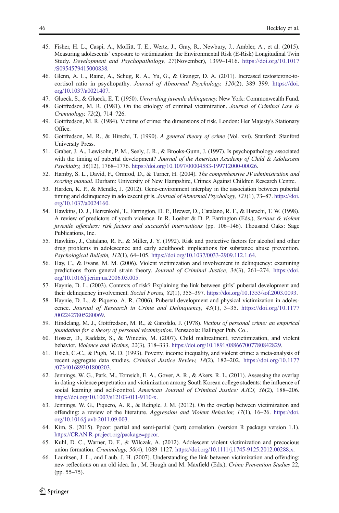- <span id="page-22-0"></span>45. Fisher, H. L., Caspi, A., Moffitt, T. E., Wertz, J., Gray, R., Newbury, J., Ambler, A., et al. (2015). Measuring adolescents' exposure to victimization: the Environmental Risk (E-Risk) Longitudinal Twin Study. Development and Psychopathology, 27(November), 1399–1416. [https://doi.org/10.1017](https://doi.org/10.1017/S0954579415000838) [/S0954579415000838.](https://doi.org/10.1017/S0954579415000838)
- 46. Glenn, A. L., Raine, A., Schug, R. A., Yu, G., & Granger, D. A. (2011). Increased testosterone-tocortisol ratio in psychopathy. Journal of Abnormal Psychology, 120(2), 389-399. [https://doi.](https://doi.org/10.1037/a0021407) [org/10.1037/a0021407](https://doi.org/10.1037/a0021407).
- 47. Glueck, S., & Glueck, E. T. (1950). Unraveling juvenile delinquency. New York: Commonwealth Fund.
- 48. Gottfredson, M. R. (1981). On the etiology of criminal victimization. Journal of Criminal Law & Criminology, 72(2), 714–726.
- 49. Gottfredson, M. R. (1984). Victims of crime: the dimensions of risk. London: Her Majesty's Stationary Office.
- 50. Gottfredson, M. R., & Hirschi, T. (1990). A general theory of crime (Vol. xvi). Stanford: Stanford University Press.
- 51. Graber, J. A., Lewisohn, P. M., Seely, J. R., & Brooks-Gunn, J. (1997). Is psychopathology associated with the timing of pubertal development? Journal of the American Academy of Child & Adolescent Psychiatry, 36(12), 1768–1776. <https://doi.org/10.1097/00004583-199712000-00026>.
- 52. Hamby, S. L., David, F., Ormrod, D., & Turner, H. (2004). The comprehensive JV administration and scoring manual. Durham: University of New Hampshire, Crimes Against Children Research Centre.
- 53. Harden, K. P., & Mendle, J. (2012). Gene-environment interplay in the association between pubertal timing and delinquency in adolescent girls. Journal of Abnormal Psychology, 121(1), 73–87. [https://doi.](https://doi.org/10.1037/a0024160) [org/10.1037/a0024160](https://doi.org/10.1037/a0024160).
- 54. Hawkins, D. J., Herrenkohl, T., Farrington, D. P., Brewer, D., Catalano, R. F., & Harachi, T. W. (1998). A review of predictors of youth violence. In R. Loeber & D. P. Farrington (Eds.), Serious & violent juvenile offenders: risk factors and successful interventions (pp. 106–146). Thousand Oaks: Sage Publications, Inc.
- 55. Hawkins, J., Catalano, R. F., & Miller, J. Y. (1992). Risk and protective factors for alcohol and other drug problems in adolescence and early adulthood: implications for substance abuse prevention. Psychological Bulletin, 112(1), 64–105. <https://doi.org/10.1037/0033-2909.112.1.64>.
- 56. Hay, C., & Evans, M. M. (2006). Violent victimization and involvement in delinquency: examining predictions from general strain theory. Journal of Criminal Justice, 34(3), 261-274. [https://doi.](https://doi.org/10.1016/j.jcrimjus.2006.03.005) [org/10.1016/j.jcrimjus.2006.03.005](https://doi.org/10.1016/j.jcrimjus.2006.03.005).
- 57. Haynie, D. L. (2003). Contexts of risk? Explaining the link between girls' pubertal development and their delinquency involvement. Social Forces, 82(1), 355–397. <https://doi.org/10.1353/sof.2003.0093>.
- 58. Haynie, D. L., & Piquero, A. R. (2006). Pubertal development and physical victimization in adolescence. Journal of Research in Crime and Delinquency, 43(1), 3–35. [https://doi.org/10.1177](https://doi.org/10.1177/0022427805280069) [/0022427805280069.](https://doi.org/10.1177/0022427805280069)
- 59. Hindelang, M. J., Gottfredson, M. R., & Garofalo, J. (1978). Victims of personal crime: an empirical foundation for a theory of personal victimization. Pensacola: Ballinger Pub. Co..
- 60. Hosser, D., Raddatz, S., & Windzio, M. (2007). Child maltreatment, revictimization, and violent behavior. Violence and Victims, 22(3), 318–333. <https://doi.org/10.1891/088667007780842829>.
- 61. Hsieh, C.-C., & Pugh, M. D. (1993). Poverty, income inequality, and violent crime: a meta-analysis of recent aggregate data studies. Criminal Justice Review, 18(2), 182–202. [https://doi.org/10.1177](https://doi.org/10.1177/073401689301800203) [/073401689301800203](https://doi.org/10.1177/073401689301800203).
- 62. Jennings, W. G., Park, M., Tomsich, E. A., Gover, A. R., & Akers, R. L. (2011). Assessing the overlap in dating violence perpetration and victimization among South Korean college students: the influence of social learning and self-control. American Journal of Criminal Justice: AJCJ, 36(2), 188-206. [https://doi.org/10.1007/s12103-011-9110-x.](https://doi.org/10.1007/s12103-011-9110-x)
- 63. Jennings, W. G., Piquero, A. R., & Reingle, J. M. (2012). On the overlap between victimization and offending: a review of the literature. Aggression and Violent Behavior, 17(1), 16–26. [https://doi.](https://doi.org/10.1016/j.avb.2011.09.003) [org/10.1016/j.avb.2011.09.003](https://doi.org/10.1016/j.avb.2011.09.003).
- 64. Kim, S. (2015). Ppcor: partial and semi-partial (part) correlation. (version R package version 1.1). [https://CRAN.R-project.org/package=ppcor.](https://cran.r-project.org/package=ppcor)
- 65. Kuhl, D. C., Warner, D. F., & Wilczak, A. (2012). Adolescent violent victimization and precocious union formation. Criminology, 50(4), 1089-1127. <https://doi.org/10.1111/j.1745-9125.2012.00288.x>.
- 66. Lauritsen, J. L., and Laub, J. H. (2007). Understanding the link between victimization and offending: new reflections on an old idea. In , M. Hough and M. Maxfield (Eds.), Crime Prevention Studies 22, (pp. 55–75).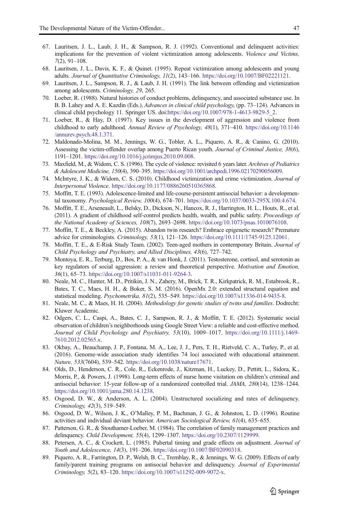- <span id="page-23-0"></span>67. Lauritsen, J. L., Laub, J. H., & Sampson, R. J. (1992). Conventional and delinquent activities: implications for the prevention of violent victimization among adolescents. Violence and Victims, 7(2), 91–108.
- 68. Lauritsen, J. L., Davis, K. F., & Quinet. (1995). Repeat victimization among adolescents and young adults. Journal of Quantitative Criminology, 11(2), 143–166. [https://doi.org/10.1007/BF02221121.](https://doi.org/10.1007/BF02221121)
- 69. Lauritsen, J. L., Sampson, R. J., & Laub, J. H. (1991). The link between offending and victimization among adolescents. Criminology, 29, 265.
- 70. Loeber, R. (1988). Natural histories of conduct problems, delinquency, and associated substance use. In B. B. Lahey and A. E. Kazdin (Eds.), Advances in clinical child psychology, (pp. 73–124). Advances in clinical child psychology 11. Springer US. doi[:https://doi.org/10.1007/978-1-4613-9829-5\\_2](https://doi.org/10.1007/978-1-4613-9829-5_2).
- 71. Loeber, R., & Hay, D. (1997). Key issues in the development of aggression and violence from childhood to early adulthood. Annual Review of Psychology, 48(1), 371–410. [https://doi.org/10.1146](https://doi.org/10.1146/annurev.psych.48.1.371) [/annurev.psych.48.1.371.](https://doi.org/10.1146/annurev.psych.48.1.371)
- 72. Maldonado-Molina, M. M., Jennings, W. G., Tobler, A. L., Piquero, A. R., & Canino, G. (2010). Assessing the victim-offender overlap among Puerto Rican youth. Journal of Criminal Justice, 38(6), 1191–1201. [https://doi.org/10.1016/j.jcrimjus.2010.09.008.](https://doi.org/10.1016/j.jcrimjus.2010.09.008)
- 73. Maxfield, M., & Widom, C. S. (1996). The cycle of violence: revisited 6 years later. Archives of Pediatrics & Adolescent Medicine, 150(4), 390–395. <https://doi.org/10.1001/archpedi.1996.02170290056009>.
- 74. McIntyre, J. K., & Widom, C. S. (2010). Childhood victimization and crime victimization. Journal of Interpersonal Violence. [https://doi.org/10.1177/0886260510365868.](https://doi.org/10.1177/0886260510365868)
- 75. Moffitt, T. E. (1993). Adolescence-limited and life-course-persistent antisocial behavior: a developmental taxonomy. Psychological Review, 100(4), 674–701. [https://doi.org/10.1037/0033-295X.100.4.674.](https://doi.org/10.1037/0033-295X.100.4.674)
- 76. Moffitt, T. E., Arseneault, L., Belsky, D., Dickson, N., Hancox, R. J., Harrington, H. L., Houts, R., et al. (2011). A gradient of childhood self-control predicts health, wealth, and public safety. Proceedings of the National Academy of Sciences, 108(7), 2693–2698. [https://doi.org/10.1073/pnas.1010076108.](https://doi.org/10.1073/pnas.1010076108)
- 77. Moffitt, T. E., & Beckley, A. (2015). Abandon twin research? Embrace epigenetic research? Premature advice for criminologists. Criminology, 53(1), 121–126. [https://doi.org/10.1111/1745-9125.12061.](https://doi.org/10.1111/1745-9125.12061)
- 78. Moffitt, T. E., & E-Risk Study Team. (2002). Teen-aged mothers in contemporary Britain. Journal of Child Psychology and Psychiatry, and Allied Disciplines, 43(6), 727–742.
- 79. Montoya, E. R., Terburg, D., Bos, P. A., & van Honk, J. (2011). Testosterone, cortisol, and serotonin as key regulators of social aggression: a review and theoretical perspective. Motivation and Emotion, 36(1), 65–73. <https://doi.org/10.1007/s11031-011-9264-3>.
- 80. Neale, M. C., Hunter, M. D., Pritikin, J. N., Zahery, M., Brick, T. R., Kirkpatrick, R. M., Estabrook, R., Bates, T. C., Maes, H. H., & Boker, S. M. (2016). OpenMx 2.0: extended structural equation and statistical modeling. Psychometrika, 81(2), 535–549. <https://doi.org/10.1007/s11336-014-9435-8>.
- 81. Neale, M. C., & Maes, H. H. (2004). Methodology for genetic studies of twins and families. Dodrecht: Kluwer Academic.
- 82. Odgers, C. L., Caspi, A., Bates, C. J., Sampson, R. J., & Moffitt, T. E. (2012). Systematic social observation of children's neighborhoods using Google Street View: a reliable and cost-effective method. Journal of Child Psychology and Psychiatry, 53(10), 1009–1017. [https://doi.org/10.1111/j.1469-](https://doi.org/10.1111/j.1469-7610.2012.02565.x) [7610.2012.02565.x.](https://doi.org/10.1111/j.1469-7610.2012.02565.x)
- 83. Okbay, A., Beauchamp, J. P., Fontana, M. A., Lee, J. J., Pers, T. H., Rietveld, C. A., Turley, P., et al. (2016). Genome-wide association study identifies 74 loci associated with educational attainment. Nature, 533(7604), 539–542. <https://doi.org/10.1038/nature17671>.
- 84. Olds, D., Henderson, C. R., Cole, R., Eckenrode, J., Kitzman, H., Luckey, D., Pettitt, L., Sidora, K., Morris, P., & Powers, J. (1998). Long-term effects of nurse home visitation on children's criminal and antisocial behavior: 15-year follow-up of a randomized controlled trial. JAMA, 280(14), 1238–1244. <https://doi.org/10.1001/jama.280.14.1238>.
- 85. Osgood, D. W., & Anderson, A. L. (2004). Unstructured socializing and rates of delinquency. Criminology, 42(3), 519–549.
- 86. Osgood, D. W., Wilson, J. K., O'Malley, P. M., Bachman, J. G., & Johnston, L. D. (1996). Routine activities and individual deviant behavior. American Sociological Review, 61(4), 635–655.
- 87. Patterson, G. R., & Stouthamer-Loeber, M. (1984). The correlation of family management practices and delinquency. Child Development, 55(4), 1299–1307. [https://doi.org/10.2307/1129999.](https://doi.org/10.2307/1129999)
- 88. Petersen, A. C., & Crockett, L. (1985). Pubertal timing and grade effects on adjustment. Journal of Youth and Adolescence, 14(3), 191–206. [https://doi.org/10.1007/BF02090318.](https://doi.org/10.1007/BF02090318)
- 89. Piquero, A. R., Farrington, D. P., Welsh, B. C., Tremblay, R., & Jennings, W. G. (2009). Effects of early family/parent training programs on antisocial behavior and delinquency. Journal of Experimental Criminology, 5(2), 83–120. <https://doi.org/10.1007/s11292-009-9072-x>.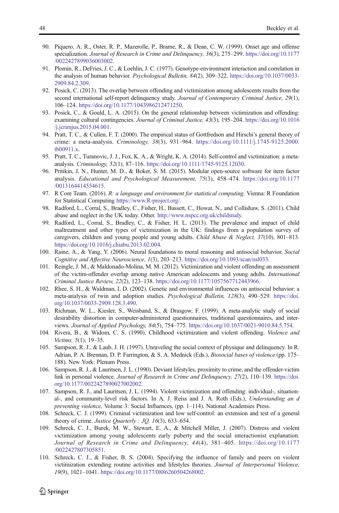- <span id="page-24-0"></span>90. Piquero, A. R., Oster, R. P., Mazerolle, P., Brame, R., & Dean, C. W. (1999). Onset age and offense specialization. Journal of Research in Crime and Delinquency, 36(3), 275-299. [https://doi.org/10.1177](https://doi.org/10.1177/0022427899036003002) [/0022427899036003002](https://doi.org/10.1177/0022427899036003002).
- 91. Plomin, R., DeFries, J. C., & Loehlin, J. C. (1977). Genotype-environment interaction and correlation in the analysis of human behavior. Psychological Bulletin, 84(2), 309–322. [https://doi.org/10.1037/0033-](https://doi.org/10.1037/0033-2909.84.2.309) [2909.84.2.309](https://doi.org/10.1037/0033-2909.84.2.309).
- 92. Posick, C. (2013). The overlap between offending and victimization among adolescents results from the second international self-report delinquency study. Journal of Contemporary Criminal Justice, 29(1), 106–124. [https://doi.org/10.1177/1043986212471250.](https://doi.org/10.1177/1043986212471250)
- 93. Posick, C., & Gould, L. A. (2015). On the general relationship between victimization and offending: examining cultural contingencies. Journal of Criminal Justice, 43(3), 195–204. [https://doi.org/10.1016](https://doi.org/10.1016/j.jcrimjus.2015.04.001) [/j.jcrimjus.2015.04.001](https://doi.org/10.1016/j.jcrimjus.2015.04.001).
- 94. Pratt, T. C., & Cullen, F. T. (2000). The empirical status of Gottfredson and Hirschi's general theory of crime: a meta-analysis. Criminology, 38(3), 931–964. [https://doi.org/10.1111/j.1745-9125.2000.](https://doi.org/10.1111/j.1745-9125.2000.tb00911.x) [tb00911.x](https://doi.org/10.1111/j.1745-9125.2000.tb00911.x).
- 95. Pratt, T. C., Turanovic, J. J., Fox, K. A., & Wright, K. A. (2014). Self-control and victimization: a metaanalysis. Criminology, 52(1), 87–116. <https://doi.org/10.1111/1745-9125.12030>.
- 96. Pritikin, J. N., Hunter, M. D., & Boker, S. M. (2015). Modular open-source software for item factor analysis. Educational and Psychological Measurement, 75(3), 458–474. [https://doi.org/10.1177](https://doi.org/10.1177/0013164414554615) [/0013164414554615.](https://doi.org/10.1177/0013164414554615)
- 97. R Core Team. (2016). R: a language and environment for statistical computing. Vienna: R Foundation for Statistical Computing [https://www.R-project.org/](https://www.r-project.org/).
- 98. Radford, L., Corral, S., Bradley, C., Fisher, H., Bassett, C., Howat, N., and Collishaw, S. (2011). Child abuse and neglect in the UK today. Other. [http://www.nspcc.org.uk/childstudy.](http://www.nspcc.org.uk/childstudy)
- 99. Radford, L., Corral, S., Bradley, C., & Fisher, H. L. (2013). The prevalence and impact of child maltreatment and other types of victimization in the UK: findings from a population survey of caregivers, children and young people and young adults. Child Abuse & Neglect, 37(10), 801–813. [https://doi.org/10.1016/j.chiabu.2013.02.004.](https://doi.org/10.1016/j.chiabu.2013.02.004)
- 100. Raine, A., & Yang, Y. (2006). Neural foundations to moral reasoning and antisocial behavior. Social Cognitive and Affective Neuroscience, 1(3), 203–213. [https://doi.org/10.1093/scan/nsl033.](https://doi.org/10.1093/scan/nsl033)
- 101. Reingle, J. M., & Maldonado-Molina, M. M. (2012). Victimization and violent offending an assessment of the victim-offender overlap among native American adolescents and young adults. International Criminal Justice Review, 22(2), 123–138. [https://doi.org/10.1177/1057567712443966.](https://doi.org/10.1177/1057567712443966)
- 102. Rhee, S. H., & Waldman, I. D. (2002). Genetic and environmental influences on antisocial behavior: a meta-analysis of twin and adoption studies. Psychological Bulletin, 128(3), 490–529. [https://doi.](https://doi.org/10.1037/0033-2909.128.3.490) [org/10.1037/0033-2909.128.3.490](https://doi.org/10.1037/0033-2909.128.3.490).
- 103. Richman, W. L., Kiesler, S., Weisband, S., & Drasgow, F. (1999). A meta-analytic study of social desirability distortion in computer-administered questionnaires, traditional questionnaires, and interviews. Journal of Applied Psychology, 84(5), 754–775. <https://doi.org/10.1037/0021-9010.84.5.754>.
- 104. Rivera, B., & Widom, C. S. (1990). Childhood victimization and violent offending. Violence and Victims, 5(1), 19–35.
- 105. Sampson, R. J., & Laub, J. H. (1997). Unraveling the social context of physique and delinquency. In R. Adrian, P. A. Brennan, D. P. Farrington, & S. A. Mednick (Eds.), Biosocial bases of violence (pp. 175– 188). New York: Plenum Press.
- 106. Sampson, R. J., & Lauritsen, J. L. (1990). Deviant lifestyles, proximity to crime, and the offender-victim link in personal violence. Journal of Research in Crime and Delinquency, 27(2), 110–139. [https://doi.](https://doi.org/10.1177/0022427890027002002) [org/10.1177/0022427890027002002](https://doi.org/10.1177/0022427890027002002).
- 107. Sampson, R. J., and Lauritsen, J. L. (1994). Violent victimization and offending: individual-, situational-, and community-level risk factors. In A. J. Reiss and J. A. Roth (Eds.), Understanding an d preventing violence, Volume 3: Social Influences, (pp. 1–114). National Academies Press.
- 108. Schreck, C. J. (1999). Criminal victimization and low self-control: an extension and test of a general theory of crime. Justice Quarterly : JQ, 16(3), 633-654.
- 109. Schreck, C. J., Burek, M. W., Stewart, E. A., & Mitchell Miller, J. (2007). Distress and violent victimization among young adolescents early puberty and the social interactionist explanation. Journal of Research in Crime and Delinquency, 44(4), 381–405. [https://doi.org/10.1177](https://doi.org/10.1177/0022427807305851) [/0022427807305851.](https://doi.org/10.1177/0022427807305851)
- 110. Schreck, C. J., & Fisher, B. S. (2004). Specifying the influence of family and peers on violent victimization extending routine activities and lifestyles theories. Journal of Interpersonal Violence, 19(9), 1021–1041. <https://doi.org/10.1177/0886260504268002>.